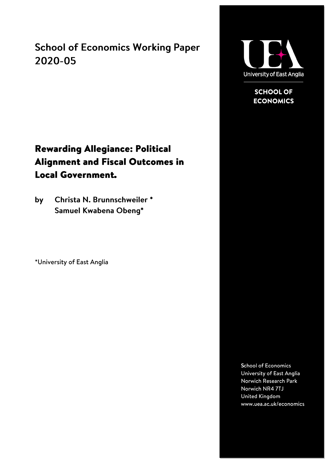**School of Economics Working Paper** 2020-05



**SCHOOL OF ECONOMICS** 

## **Rewarding Allegiance: Political Alignment and Fiscal Outcomes in Local Government.**

Christa N. Brunnschweiler \* by Samuel Kwabena Obeng\*

\*University of East Anglia

**School of Economics** University of East Anglia Norwich Research Park Norwich NR4 7TJ United Kingdom www.uea.ac.uk/economics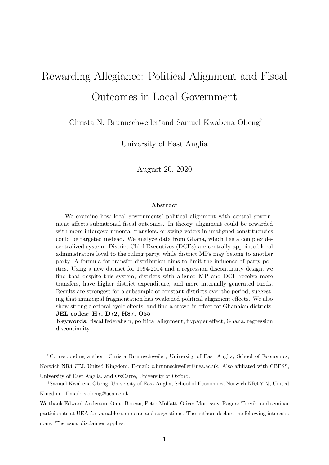# <span id="page-1-0"></span>Rewarding Allegiance: Political Alignment and Fiscal Outcomes in Local Government

Christa N. Brunnschweiler<sup>∗</sup>and Samuel Kwabena Obeng†

University of East Anglia

August 20, 2020

#### Abstract

We examine how local governments' political alignment with central government affects subnational fiscal outcomes. In theory, alignment could be rewarded with more intergovernmental transfers, or swing voters in unaligned constituencies could be targeted instead. We analyze data from Ghana, which has a complex decentralized system: District Chief Executives (DCEs) are centrally-appointed local administrators loyal to the ruling party, while district MPs may belong to another party. A formula for transfer distribution aims to limit the influence of party politics. Using a new dataset for 1994-2014 and a regression discontinuity design, we find that despite this system, districts with aligned MP and DCE receive more transfers, have higher district expenditure, and more internally generated funds. Results are strongest for a subsample of constant districts over the period, suggesting that municipal fragmentation has weakened political alignment effects. We also show strong electoral cycle effects, and find a crowd-in effect for Ghanaian districts. JEL codes: H7, D72, H87, O55

Keywords: fiscal federalism, political alignment, flypaper effect, Ghana, regression discontinuity

<sup>∗</sup>Corresponding author: Christa Brunnschweiler, University of East Anglia, School of Economics, Norwich NR4 7TJ, United Kingdom. E-mail: c.brunnschweiler@uea.ac.uk. Also affiliated with CBESS,

University of East Anglia, and OxCarre, University of Oxford. †Samuel Kwabena Obeng, University of East Anglia, School of Economics, Norwich NR4 7TJ, United Kingdom. Email: s.obeng@uea.ac.uk

We thank Edward Anderson, Oana Borcan, Peter Moffatt, Oliver Morrissey, Ragnar Torvik, and seminar participants at UEA for valuable comments and suggestions. The authors declare the following interests: none. The usual disclaimer applies.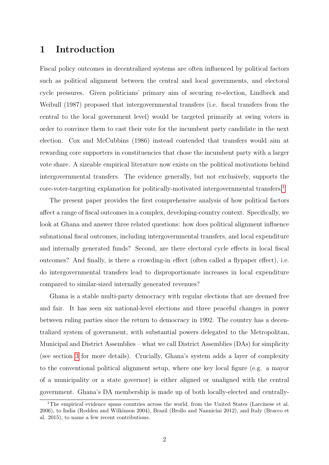## 1 Introduction

Fiscal policy outcomes in decentralized systems are often influenced by political factors such as political alignment between the central and local governments, and electoral cycle pressures. Given politicians' primary aim of securing re-election, Lindbeck and Weibull (1987) proposed that intergovernmental transfers (i.e. fiscal transfers from the central to the local government level) would be targeted primarily at swing voters in order to convince them to cast their vote for the incumbent party candidate in the next election. Cox and McCubbins (1986) instead contended that transfers would aim at rewarding core supporters in constituencies that chose the incumbent party with a larger vote share. A sizeable empirical literature now exists on the political motivations behind intergovernmental transfers. The evidence generally, but not exclusively, supports the core-voter-targeting explanation for politically-motivated intergovernmental transfers.<sup>[1](#page-1-0)</sup>

The present paper provides the first comprehensive analysis of how political factors affect a range of fiscal outcomes in a complex, developing-country context. Specifically, we look at Ghana and answer three related questions: how does political alignment influence subnational fiscal outcomes, including intergovernmental transfers, and local expenditure and internally generated funds? Second, are there electoral cycle effects in local fiscal outcomes? And finally, is there a crowding-in effect (often called a flypaper effect), i.e. do intergovernmental transfers lead to disproportionate increases in local expenditure compared to similar-sized internally generated revenues?

Ghana is a stable multi-party democracy with regular elections that are deemed free and fair. It has seen six national-level elections and three peaceful changes in power between ruling parties since the return to democracy in 1992. The country has a decentralized system of government, with substantial powers delegated to the Metropolitan, Municipal and District Assemblies – what we call District Assemblies (DAs) for simplicity (see section [3](#page-7-0) for more details). Crucially, Ghana's system adds a layer of complexity to the conventional political alignment setup, where one key local figure (e.g. a mayor of a municipality or a state governor) is either aligned or unaligned with the central government. Ghana's DA membership is made up of both locally-elected and centrally-

<sup>&</sup>lt;sup>1</sup>The empirical evidence spans countries across the world, from the United States (Larcinese et al. 2006), to India (Rodden and Wilkinson 2004), Brazil (Brollo and Nannicini 2012), and Italy (Bracco et al. 2015), to name a few recent contributions.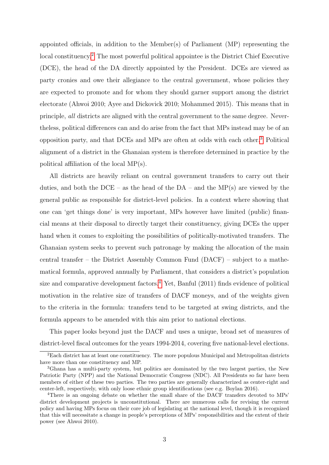appointed officials, in addition to the Member(s) of Parliament (MP) representing the local constituency.[2](#page-1-0) The most powerful political appointee is the District Chief Executive (DCE), the head of the DA directly appointed by the President. DCEs are viewed as party cronies and owe their allegiance to the central government, whose policies they are expected to promote and for whom they should garner support among the district electorate (Ahwoi 2010; Ayee and Dickovick 2010; Mohammed 2015). This means that in principle, all districts are aligned with the central government to the same degree. Nevertheless, political differences can and do arise from the fact that MPs instead may be of an opposition party, and that DCEs and MPs are often at odds with each other.[3](#page-1-0) Political alignment of a district in the Ghanaian system is therefore determined in practice by the political affiliation of the local MP(s).

All districts are heavily reliant on central government transfers to carry out their duties, and both the  $DCE - as$  the head of the  $DA - and$  the  $MP(s)$  are viewed by the general public as responsible for district-level policies. In a context where showing that one can 'get things done' is very important, MPs however have limited (public) financial means at their disposal to directly target their constituency, giving DCEs the upper hand when it comes to exploiting the possibilities of politically-motivated transfers. The Ghanaian system seeks to prevent such patronage by making the allocation of the main central transfer – the District Assembly Common Fund (DACF) – subject to a mathematical formula, approved annually by Parliament, that considers a district's population size and comparative development factors.<sup>[4](#page-1-0)</sup> Yet, Banful  $(2011)$  finds evidence of political motivation in the relative size of transfers of DACF moneys, and of the weights given to the criteria in the formula: transfers tend to be targeted at swing districts, and the formula appears to be amended with this aim prior to national elections.

This paper looks beyond just the DACF and uses a unique, broad set of measures of district-level fiscal outcomes for the years 1994-2014, covering five national-level elections.

<sup>2</sup>Each district has at least one constituency. The more populous Municipal and Metropolitan districts have more than one constituency and MP.

<sup>3</sup>Ghana has a multi-party system, but politics are dominated by the two largest parties, the New Patriotic Party (NPP) and the National Democratic Congress (NDC). All Presidents so far have been members of either of these two parties. The two parties are generally characterized as center-right and center-left, respectively, with only loose ethnic group identifications (see e.g. Boylan 2016).

<sup>4</sup>There is an ongoing debate on whether the small share of the DACF transfers devoted to MPs' district development projects is unconstitutional. There are numerous calls for revising the current policy and having MPs focus on their core job of legislating at the national level, though it is recognized that this will necessitate a change in people's perceptions of MPs' responsibilities and the extent of their power (see Ahwoi 2010).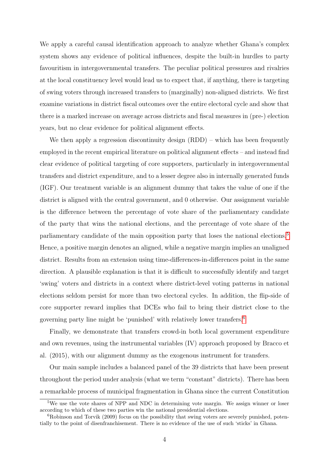We apply a careful causal identification approach to analyze whether Ghana's complex system shows any evidence of political influences, despite the built-in hurdles to party favouritism in intergovernmental transfers. The peculiar political pressures and rivalries at the local constituency level would lead us to expect that, if anything, there is targeting of swing voters through increased transfers to (marginally) non-aligned districts. We first examine variations in district fiscal outcomes over the entire electoral cycle and show that there is a marked increase on average across districts and fiscal measures in (pre-) election years, but no clear evidence for political alignment effects.

We then apply a regression discontinuity design  $(RDD)$  – which has been frequently employed in the recent empirical literature on political alignment effects – and instead find clear evidence of political targeting of core supporters, particularly in intergovernmental transfers and district expenditure, and to a lesser degree also in internally generated funds (IGF). Our treatment variable is an alignment dummy that takes the value of one if the district is aligned with the central government, and 0 otherwise. Our assignment variable is the difference between the percentage of vote share of the parliamentary candidate of the party that wins the national elections, and the percentage of vote share of the parliamentary candidate of the main opposition party that loses the national elections.<sup>[5](#page-1-0)</sup> Hence, a positive margin denotes an aligned, while a negative margin implies an unaligned district. Results from an extension using time-differences-in-differences point in the same direction. A plausible explanation is that it is difficult to successfully identify and target 'swing' voters and districts in a context where district-level voting patterns in national elections seldom persist for more than two electoral cycles. In addition, the flip-side of core supporter reward implies that DCEs who fail to bring their district close to the governing party line might be 'punished' with relatively lower transfers.[6](#page-1-0)

Finally, we demonstrate that transfers crowd-in both local government expenditure and own revenues, using the instrumental variables (IV) approach proposed by Bracco et al. (2015), with our alignment dummy as the exogenous instrument for transfers.

Our main sample includes a balanced panel of the 39 districts that have been present throughout the period under analysis (what we term "constant" districts). There has been a remarkable process of municipal fragmentation in Ghana since the current Constitution

<sup>&</sup>lt;sup>5</sup>We use the vote shares of NPP and NDC in determining vote margin. We assign winner or loser according to which of these two parties win the national presidential elections.

 ${}^6R\text{obinson}$  and Torvik (2009) focus on the possibility that swing voters are severely punished, potentially to the point of disenfranchisement. There is no evidence of the use of such 'sticks' in Ghana.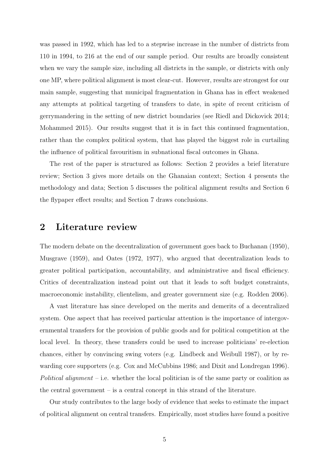was passed in 1992, which has led to a stepwise increase in the number of districts from 110 in 1994, to 216 at the end of our sample period. Our results are broadly consistent when we vary the sample size, including all districts in the sample, or districts with only one MP, where political alignment is most clear-cut. However, results are strongest for our main sample, suggesting that municipal fragmentation in Ghana has in effect weakened any attempts at political targeting of transfers to date, in spite of recent criticism of gerrymandering in the setting of new district boundaries (see Riedl and Dickovick 2014; Mohammed 2015). Our results suggest that it is in fact this continued fragmentation, rather than the complex political system, that has played the biggest role in curtailing the influence of political favouritism in subnational fiscal outcomes in Ghana.

The rest of the paper is structured as follows: Section 2 provides a brief literature review; Section 3 gives more details on the Ghanaian context; Section 4 presents the methodology and data; Section 5 discusses the political alignment results and Section 6 the flypaper effect results; and Section 7 draws conclusions.

### 2 Literature review

The modern debate on the decentralization of government goes back to Buchanan (1950), Musgrave (1959), and Oates (1972, 1977), who argued that decentralization leads to greater political participation, accountability, and administrative and fiscal efficiency. Critics of decentralization instead point out that it leads to soft budget constraints, macroeconomic instability, clientelism, and greater government size (e.g. Rodden 2006).

A vast literature has since developed on the merits and demerits of a decentralized system. One aspect that has received particular attention is the importance of intergovernmental transfers for the provision of public goods and for political competition at the local level. In theory, these transfers could be used to increase politicians' re-election chances, either by convincing swing voters (e.g. Lindbeck and Weibull 1987), or by rewarding core supporters (e.g. Cox and McCubbins 1986; and Dixit and Londregan 1996). Political alignment – i.e. whether the local politician is of the same party or coalition as the central government – is a central concept in this strand of the literature.

Our study contributes to the large body of evidence that seeks to estimate the impact of political alignment on central transfers. Empirically, most studies have found a positive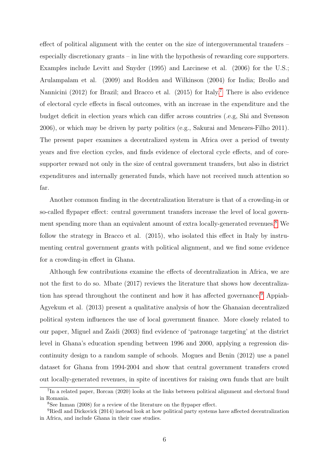effect of political alignment with the center on the size of intergovernmental transfers – especially discretionary grants – in line with the hypothesis of rewarding core supporters. Examples include Levitt and Snyder (1995) and Larcinese et al. (2006) for the U.S.; Arulampalam et al. (2009) and Rodden and Wilkinson (2004) for India; Brollo and Nannicini (2012) for Brazil; and Bracco et al. (2015) for Italy.[7](#page-1-0) There is also evidence of electoral cycle effects in fiscal outcomes, with an increase in the expenditure and the budget deficit in election years which can differ across countries (.e.g, Shi and Svensson 2006), or which may be driven by party politics (e.g., Sakurai and Menezes-Filho 2011). The present paper examines a decentralized system in Africa over a period of twenty years and five election cycles, and finds evidence of electoral cycle effects, and of coresupporter reward not only in the size of central government transfers, but also in district expenditures and internally generated funds, which have not received much attention so far.

Another common finding in the decentralization literature is that of a crowding-in or so-called flypaper effect: central government transfers increase the level of local govern-ment spending more than an equivalent amount of extra locally-generated revenues.<sup>[8](#page-1-0)</sup> We follow the strategy in Bracco et al. (2015), who isolated this effect in Italy by instrumenting central government grants with political alignment, and we find some evidence for a crowding-in effect in Ghana.

Although few contributions examine the effects of decentralization in Africa, we are not the first to do so. Mbate (2017) reviews the literature that shows how decentraliza-tion has spread throughout the continent and how it has affected governance.<sup>[9](#page-1-0)</sup> Appiah-Agyekum et al. (2013) present a qualitative analysis of how the Ghanaian decentralized political system influences the use of local government finance. More closely related to our paper, Miguel and Zaidi (2003) find evidence of 'patronage targeting' at the district level in Ghana's education spending between 1996 and 2000, applying a regression discontinuity design to a random sample of schools. Mogues and Benin (2012) use a panel dataset for Ghana from 1994-2004 and show that central government transfers crowd out locally-generated revenues, in spite of incentives for raising own funds that are built

<sup>&</sup>lt;sup>7</sup>In a related paper, Borcan (2020) looks at the links between political alignment and electoral fraud in Romania.

<sup>8</sup>See Inman (2008) for a review of the literature on the flypaper effect.

<sup>9</sup>Riedl and Dickovick (2014) instead look at how political party systems have affected decentralization in Africa, and include Ghana in their case studies.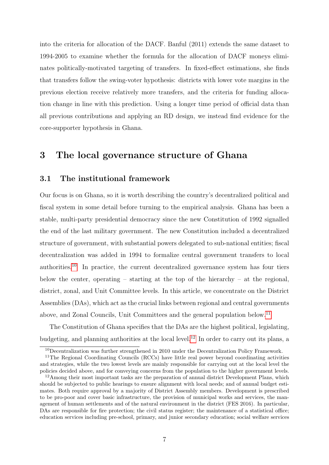into the criteria for allocation of the DACF. Banful (2011) extends the same dataset to 1994-2005 to examine whether the formula for the allocation of DACF moneys eliminates politically-motivated targeting of transfers. In fixed-effect estimations, she finds that transfers follow the swing-voter hypothesis: districts with lower vote margins in the previous election receive relatively more transfers, and the criteria for funding allocation change in line with this prediction. Using a longer time period of official data than all previous contributions and applying an RD design, we instead find evidence for the core-supporter hypothesis in Ghana.

## <span id="page-7-0"></span>3 The local governance structure of Ghana

### 3.1 The institutional framework

Our focus is on Ghana, so it is worth describing the country's decentralized political and fiscal system in some detail before turning to the empirical analysis. Ghana has been a stable, multi-party presidential democracy since the new Constitution of 1992 signalled the end of the last military government. The new Constitution included a decentralized structure of government, with substantial powers delegated to sub-national entities; fiscal decentralization was added in 1994 to formalize central government transfers to local authorities.[10](#page-1-0) In practice, the current decentralized governance system has four tiers below the center, operating – starting at the top of the hierarchy – at the regional, district, zonal, and Unit Committee levels. In this article, we concentrate on the District Assemblies (DAs), which act as the crucial links between regional and central governments above, and Zonal Councils, Unit Committees and the general population below.[11](#page-1-0)

The Constitution of Ghana specifies that the DAs are the highest political, legislating, budgeting, and planning authorities at the local level.[12](#page-1-0) In order to carry out its plans, a

<sup>&</sup>lt;sup>10</sup>Decentralization was further strengthened in 2010 under the Decentralization Policy Framework.

<sup>&</sup>lt;sup>11</sup>The Regional Coordinating Councils (RCCs) have little real power beyond coordinating activities and strategies, while the two lowest levels are mainly responsible for carrying out at the local level the policies decided above, and for conveying concerns from the population to the higher government levels.

<sup>&</sup>lt;sup>12</sup>Among their most important tasks are the preparation of annual district Development Plans, which should be subjected to public hearings to ensure alignment with local needs; and of annual budget estimates. Both require approval by a majority of District Assembly members. Development is prescribed to be pro-poor and cover basic infrastructure, the provision of municipal works and services, the management of human settlements and of the natural environment in the district (FES 2016). In particular, DAs are responsible for fire protection; the civil status register; the maintenance of a statistical office; education services including pre-school, primary, and junior secondary education; social welfare services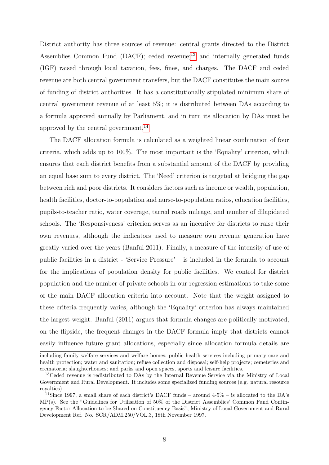District authority has three sources of revenue: central grants directed to the District Assemblies Common Fund (DACF); ceded revenue; $^{13}$  $^{13}$  $^{13}$  and internally generated funds (IGF) raised through local taxation, fees, fines, and charges. The DACF and ceded revenue are both central government transfers, but the DACF constitutes the main source of funding of district authorities. It has a constitutionally stipulated minimum share of central government revenue of at least 5%; it is distributed between DAs according to a formula approved annually by Parliament, and in turn its allocation by DAs must be approved by the central government.<sup>[14](#page-1-0)</sup>

The DACF allocation formula is calculated as a weighted linear combination of four criteria, which adds up to 100%. The most important is the 'Equality' criterion, which ensures that each district benefits from a substantial amount of the DACF by providing an equal base sum to every district. The 'Need' criterion is targeted at bridging the gap between rich and poor districts. It considers factors such as income or wealth, population, health facilities, doctor-to-population and nurse-to-population ratios, education facilities, pupils-to-teacher ratio, water coverage, tarred roads mileage, and number of dilapidated schools. The 'Responsiveness' criterion serves as an incentive for districts to raise their own revenues, although the indicators used to measure own revenue generation have greatly varied over the years (Banful 2011). Finally, a measure of the intensity of use of public facilities in a district - 'Service Pressure' – is included in the formula to account for the implications of population density for public facilities. We control for district population and the number of private schools in our regression estimations to take some of the main DACF allocation criteria into account. Note that the weight assigned to these criteria frequently varies, although the 'Equality' criterion has always maintained the largest weight. Banful (2011) argues that formula changes are politically motivated; on the flipside, the frequent changes in the DACF formula imply that districts cannot easily influence future grant allocations, especially since allocation formula details are

including family welfare services and welfare homes; public health services including primary care and health protection; water and sanitation; refuse collection and disposal; self-help projects; cemeteries and crematoria; slaughterhouses; and parks and open spaces, sports and leisure facilities.

<sup>&</sup>lt;sup>13</sup>Ceded revenue is redistributed to DAs by the Internal Revenue Service via the Ministry of Local Government and Rural Development. It includes some specialized funding sources (e.g. natural resource royalties).

<sup>&</sup>lt;sup>14</sup>Since 1997, a small share of each district's DACF funds – around  $4-5\%$  – is allocated to the DA's MP(s). See the "Guidelines for Utilisation of 50% of the District Assemblies' Common Fund Contingency Factor Allocation to be Shared on Constituency Basis", Ministry of Local Government and Rural Development Ref. No. SCR/ADM.250/VOL.3, 18th November 1997.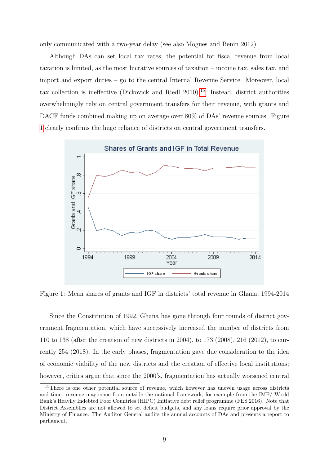only communicated with a two-year delay (see also Mogues and Benin 2012).

Although DAs can set local tax rates, the potential for fiscal revenue from local taxation is limited, as the most lucrative sources of taxation – income tax, sales tax, and import and export duties – go to the central Internal Revenue Service. Moreover, local tax collection is ineffective (Dickovick and Riedl 2010).[15](#page-1-0) Instead, district authorities overwhelmingly rely on central government transfers for their revenue, with grants and DACF funds combined making up on average over 80% of DAs' revenue sources. Figure [1](#page-9-0) clearly confirms the huge reliance of districts on central government transfers.

<span id="page-9-0"></span>

Figure 1: Mean shares of grants and IGF in districts' total revenue in Ghana, 1994-2014

Since the Constitution of 1992, Ghana has gone through four rounds of district government fragmentation, which have successively increased the number of districts from 110 to 138 (after the creation of new districts in 2004), to 173 (2008), 216 (2012), to currently 254 (2018). In the early phases, fragmentation gave due consideration to the idea of economic viability of the new districts and the creation of effective local institutions; however, critics argue that since the 2000's, fragmentation has actually worsened central

<sup>&</sup>lt;sup>15</sup>There is one other potential source of revenue, which however has uneven usage across districts and time: revenue may come from outside the national framework, for example from the IMF/ World Bank's Heavily Indebted Poor Countries (HIPC) Initiative debt relief programme (FES 2016). Note that District Assemblies are not allowed to set deficit budgets, and any loans require prior approval by the Ministry of Finance. The Auditor General audits the annual accounts of DAs and presents a report to parliament.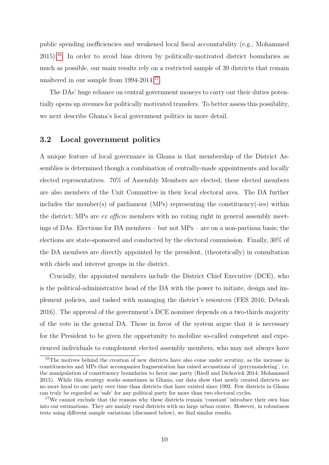public spending inefficiencies and weakened local fiscal accountability (e.g., Mohammed  $2015$ .<sup>[16](#page-1-0)</sup> In order to avoid bias driven by politically-motivated district boundaries as much as possible, our main results rely on a restricted sample of 39 districts that remain unaltered in our sample from 1994-2014.[17](#page-1-0)

The DAs' huge reliance on central government moneys to carry out their duties potentially opens up avenues for politically motivated transfers. To better assess this possibility, we next describe Ghana's local government politics in more detail.

### 3.2 Local government politics

A unique feature of local governance in Ghana is that membership of the District Assemblies is determined though a combination of centrally-made appointments and locally elected representatives. 70% of Assembly Members are elected; these elected members are also members of the Unit Committee in their local electoral area. The DA further includes the member(s) of parliament (MPs) representing the constituency(-ies) within the district; MPs are *ex officio* members with no voting right in general assembly meetings of DAs. Elections for DA members – but not MPs – are on a non-partisan basis; the elections are state-sponsored and conducted by the electoral commission. Finally, 30% of the DA members are directly appointed by the president, (theoretically) in consultation with chiefs and interest groups in the district.

Crucially, the appointed members include the District Chief Executive (DCE), who is the political-administrative head of the DA with the power to initiate, design and implement policies, and tasked with managing the district's resources (FES 2016; Debrah 2016). The approval of the government's DCE nominee depends on a two-thirds majority of the vote in the general DA. Those in favor of the system argue that it is necessary for the President to be given the opportunity to mobilize so-called competent and experienced individuals to complement elected assembly members, who may not always have

<sup>&</sup>lt;sup>16</sup>The motives behind the creation of new districts have also come under scrutiny, as the increase in constituencies and MPs that accompanies fragmentation has raised accusations of 'gerrymandering', i.e. the manipulation of constituency boundaries to favor one party (Riedl and Dickovick 2014; Mohammed 2015). While this strategy works sometimes in Ghana, our data show that newly created districts are no more loyal to one party over time than districts that have existed since 1992. Few districts in Ghana can truly be regarded as 'safe' for any political party for more than two electoral cycles.

<sup>&</sup>lt;sup>17</sup>We cannot exclude that the reasons why these districts remain 'constant' introduce their own bias into our estimations. They are mainly rural districts with no large urban center. However, in robustness tests using different sample variations (discussed below), we find similar results.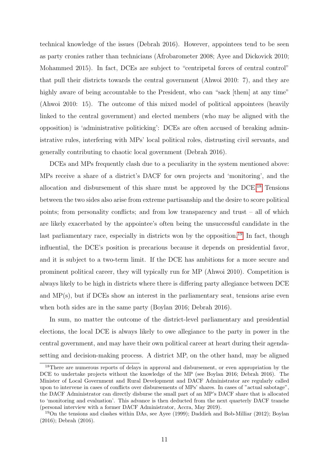technical knowledge of the issues (Debrah 2016). However, appointees tend to be seen as party cronies rather than technicians (Afrobarometer 2008; Ayee and Dickovick 2010; Mohammed 2015). In fact, DCEs are subject to "centripetal forces of central control" that pull their districts towards the central government (Ahwoi 2010: 7), and they are highly aware of being accountable to the President, who can "sack [them] at any time" (Ahwoi 2010: 15). The outcome of this mixed model of political appointees (heavily linked to the central government) and elected members (who may be aligned with the opposition) is 'administrative politicking': DCEs are often accused of breaking administrative rules, interfering with MPs' local political roles, distrusting civil servants, and generally contributing to chaotic local government (Debrah 2016).

DCEs and MPs frequently clash due to a peculiarity in the system mentioned above: MPs receive a share of a district's DACF for own projects and 'monitoring', and the allocation and disbursement of this share must be approved by the  $DCE<sup>18</sup>$  $DCE<sup>18</sup>$  $DCE<sup>18</sup>$  Tensions between the two sides also arise from extreme partisanship and the desire to score political points; from personality conflicts; and from low transparency and trust – all of which are likely exacerbated by the appointee's often being the unsuccessful candidate in the last parliamentary race, especially in districts won by the opposition.<sup>[19](#page-1-0)</sup> In fact, though influential, the DCE's position is precarious because it depends on presidential favor, and it is subject to a two-term limit. If the DCE has ambitions for a more secure and prominent political career, they will typically run for MP (Ahwoi 2010). Competition is always likely to be high in districts where there is differing party allegiance between DCE and MP(s), but if DCEs show an interest in the parliamentary seat, tensions arise even when both sides are in the same party (Boylan 2016; Debrah 2016).

In sum, no matter the outcome of the district-level parliamentary and presidential elections, the local DCE is always likely to owe allegiance to the party in power in the central government, and may have their own political career at heart during their agendasetting and decision-making process. A district MP, on the other hand, may be aligned

<sup>&</sup>lt;sup>18</sup>There are numerous reports of delays in approval and disbursement, or even appropriation by the DCE to undertake projects without the knowledge of the MP (see Boylan 2016; Debrah 2016). The Minister of Local Government and Rural Development and DACF Administrator are regularly called upon to intervene in cases of conflicts over disbursements of MPs' shares. In cases of "actual sabotage", the DACF Administrator can directly disburse the small part of an MP's DACF share that is allocated to 'monitoring and evaluation'. This advance is then deducted from the next quarterly DACF tranche (personal interview with a former DACF Administrator, Accra, May 2019).

<sup>19</sup>On the tensions and clashes within DAs, see Ayee (1999); Daddieh and Bob-Milliar (2012); Boylan (2016); Debrah (2016).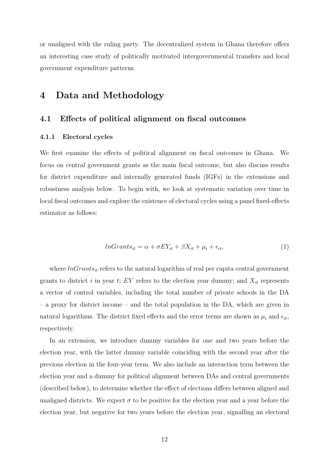or unaligned with the ruling party. The decentralized system in Ghana therefore offers an interesting case study of politically motivated intergovernmental transfers and local government expenditure patterns.

## 4 Data and Methodology

### 4.1 Effects of political alignment on fiscal outcomes

### 4.1.1 Electoral cycles

We first examine the effects of political alignment on fiscal outcomes in Ghana. We focus on central government grants as the main fiscal outcome, but also discuss results for district expenditure and internally generated funds (IGFs) in the extensions and robustness analysis below. To begin with, we look at systematic variation over time in local fiscal outcomes and explore the existence of electoral cycles using a panel fixed-effects estimator as follows:

$$
lnGrants_{it} = \alpha + \sigma EY_{it} + \beta X_{it} + \mu_i + \epsilon_{it}, \qquad (1)
$$

where  $lnGrants_{it}$  refers to the natural logarithm of real per capita central government grants to district i in year t; EY refers to the election year dummy; and  $X_{it}$  represents a vector of control variables, including the total number of private schools in the DA – a proxy for district income – and the total population in the DA, which are given in natural logarithms. The district fixed effects and the error terms are shown as  $\mu_i$  and  $\epsilon_{it}$ , respectively.

In an extension, we introduce dummy variables for one and two years before the election year, with the latter dummy variable coinciding with the second year after the previous election in the four-year term. We also include an interaction term between the election year and a dummy for political alignment between DAs and central governments (described below), to determine whether the effect of elections differs between aligned and unaligned districts. We expect  $\sigma$  to be positive for the election year and a year before the election year, but negative for two years before the election year, signalling an electoral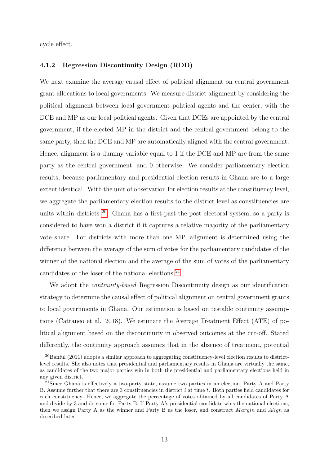cycle effect.

### 4.1.2 Regression Discontinuity Design (RDD)

We next examine the average causal effect of political alignment on central government grant allocations to local governments. We measure district alignment by considering the political alignment between local government political agents and the center, with the DCE and MP as our local political agents. Given that DCEs are appointed by the central government, if the elected MP in the district and the central government belong to the same party, then the DCE and MP are automatically aligned with the central government. Hence, alignment is a dummy variable equal to 1 if the DCE and MP are from the same party as the central government, and 0 otherwise. We consider parliamentary election results, because parliamentary and presidential election results in Ghana are to a large extent identical. With the unit of observation for election results at the constituency level, we aggregate the parliamentary election results to the district level as constituencies are units within districts  $20$ . Ghana has a first-past-the-post electoral system, so a party is considered to have won a district if it captures a relative majority of the parliamentary vote share. For districts with more than one MP, alignment is determined using the difference between the average of the sum of votes for the parliamentary candidates of the winner of the national election and the average of the sum of votes of the parliamentary candidates of the loser of the national elections <sup>[21](#page-1-0)</sup>.

We adopt the *continuity-based* Regression Discontinuity design as our identification strategy to determine the causal effect of political alignment on central government grants to local governments in Ghana. Our estimation is based on testable continuity assumptions (Cattaneo et al. 2018). We estimate the Average Treatment Effect (ATE) of political alignment based on the discontinuity in observed outcomes at the cut-off. Stated differently, the continuity approach assumes that in the absence of treatment, potential

 $^{20}$ Banful (2011) adopts a similar approach to aggregating constituency-level election results to districtlevel results. She also notes that presidential and parliamentary results in Ghana are virtually the same, as candidates of the two major parties win in both the presidential and parliamentary elections held in any given district.

<sup>&</sup>lt;sup>21</sup>Since Ghana is effectively a two-party state, assume two parties in an election, Party A and Party B. Assume further that there are 3 constituencies in district i at time t. Both parties field candidates for each constituency. Hence, we aggregate the percentage of votes obtained by all candidates of Party A and divide by 3 and do same for Party B. If Party A's presidential candidate wins the national elections, then we assign Party A as the winner and Party B as the loser, and construct Margin and Align as described later.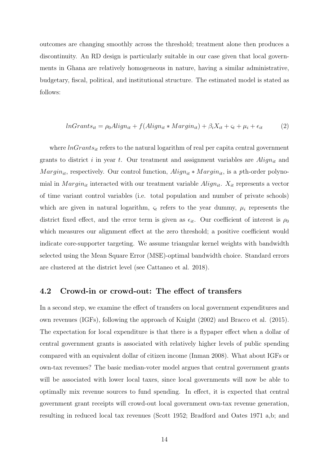outcomes are changing smoothly across the threshold; treatment alone then produces a discontinuity. An RD design is particularly suitable in our case given that local governments in Ghana are relatively homogeneous in nature, having a similar administrative, budgetary, fiscal, political, and institutional structure. The estimated model is stated as follows:

$$
lnGrants_{it} = \rho_0 A lign_{it} + f(Align_{it} * Margin_{it}) + \beta_i X_{it} + \varsigma_t + \mu_i + \epsilon_{it}
$$
 (2)

where  $lnGrants_{it}$  refers to the natural logarithm of real per capita central government grants to district i in year t. Our treatment and assignment variables are  $\text{Align}_{it}$  and  $Margin_{it}$ , respectively. Our control function,  $Align_{it} * Margin_{it}$ , is a pth-order polynomial in  $Margin_{it}$  interacted with our treatment variable  $Align_{it}$ .  $X_{it}$  represents a vector of time variant control variables (i.e. total population and number of private schools) which are given in natural logarithm,  $\varsigma_t$  refers to the year dummy,  $\mu_i$  represents the district fixed effect, and the error term is given as  $\epsilon_{it}$ . Our coefficient of interest is  $\rho_0$ which measures our alignment effect at the zero threshold; a positive coefficient would indicate core-supporter targeting. We assume triangular kernel weights with bandwidth selected using the Mean Square Error (MSE)-optimal bandwidth choice. Standard errors are clustered at the district level (see Cattaneo et al. 2018).

### 4.2 Crowd-in or crowd-out: The effect of transfers

In a second step, we examine the effect of transfers on local government expenditures and own revenues (IGFs), following the approach of Knight (2002) and Bracco et al. (2015). The expectation for local expenditure is that there is a flypaper effect when a dollar of central government grants is associated with relatively higher levels of public spending compared with an equivalent dollar of citizen income (Inman 2008). What about IGFs or own-tax revenues? The basic median-voter model argues that central government grants will be associated with lower local taxes, since local governments will now be able to optimally mix revenue sources to fund spending. In effect, it is expected that central government grant receipts will crowd-out local government own-tax revenue generation, resulting in reduced local tax revenues (Scott 1952; Bradford and Oates 1971 a,b; and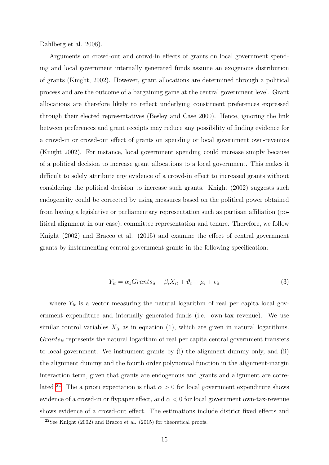### Dahlberg et al. 2008).

Arguments on crowd-out and crowd-in effects of grants on local government spending and local government internally generated funds assume an exogenous distribution of grants (Knight, 2002). However, grant allocations are determined through a political process and are the outcome of a bargaining game at the central government level. Grant allocations are therefore likely to reflect underlying constituent preferences expressed through their elected representatives (Besley and Case 2000). Hence, ignoring the link between preferences and grant receipts may reduce any possibility of finding evidence for a crowd-in or crowd-out effect of grants on spending or local government own-revenues (Knight 2002). For instance, local government spending could increase simply because of a political decision to increase grant allocations to a local government. This makes it difficult to solely attribute any evidence of a crowd-in effect to increased grants without considering the political decision to increase such grants. Knight (2002) suggests such endogeneity could be corrected by using measures based on the political power obtained from having a legislative or parliamentary representation such as partisan affiliation (political alignment in our case), committee representation and tenure. Therefore, we follow Knight (2002) and Bracco et al. (2015) and examine the effect of central government grants by instrumenting central government grants in the following specification:

$$
Y_{it} = \alpha_1 Grants_{it} + \beta_i X_{it} + \vartheta_t + \mu_i + \epsilon_{it}
$$
\n
$$
\tag{3}
$$

where  $Y_{it}$  is a vector measuring the natural logarithm of real per capita local government expenditure and internally generated funds (i.e. own-tax revenue). We use similar control variables  $X_{it}$  as in equation (1), which are given in natural logarithms.  $Grants_{it}$  represents the natural logarithm of real per capita central government transfers to local government. We instrument grants by (i) the alignment dummy only, and (ii) the alignment dummy and the fourth order polynomial function in the alignment-margin interaction term, given that grants are endogenous and grants and alignment are corre-lated <sup>[22](#page-1-0)</sup>. The a priori expectation is that  $\alpha > 0$  for local government expenditure shows evidence of a crowd-in or flypaper effect, and  $\alpha < 0$  for local government own-tax-revenue shows evidence of a crowd-out effect. The estimations include district fixed effects and

 $22$ See Knight (2002) and Bracco et al. (2015) for theoretical proofs.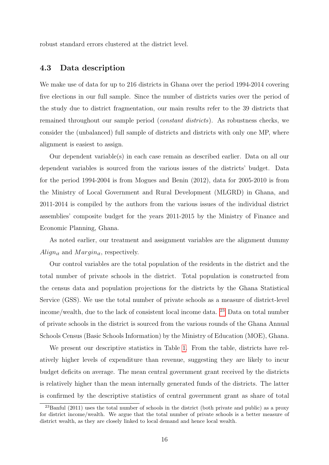robust standard errors clustered at the district level.

### 4.3 Data description

We make use of data for up to 216 districts in Ghana over the period 1994-2014 covering five elections in our full sample. Since the number of districts varies over the period of the study due to district fragmentation, our main results refer to the 39 districts that remained throughout our sample period (constant districts). As robustness checks, we consider the (unbalanced) full sample of districts and districts with only one MP, where alignment is easiest to assign.

Our dependent variable(s) in each case remain as described earlier. Data on all our dependent variables is sourced from the various issues of the districts' budget. Data for the period 1994-2004 is from Mogues and Benin (2012), data for 2005-2010 is from the Ministry of Local Government and Rural Development (MLGRD) in Ghana, and 2011-2014 is compiled by the authors from the various issues of the individual district assemblies' composite budget for the years 2011-2015 by the Ministry of Finance and Economic Planning, Ghana.

As noted earlier, our treatment and assignment variables are the alignment dummy  $Align_{it}$  and  $Margin_{it}$ , respectively.

Our control variables are the total population of the residents in the district and the total number of private schools in the district. Total population is constructed from the census data and population projections for the districts by the Ghana Statistical Service (GSS). We use the total number of private schools as a measure of district-level income/wealth, due to the lack of consistent local income data. [23](#page-1-0) Data on total number of private schools in the district is sourced from the various rounds of the Ghana Annual Schools Census (Basic Schools Information) by the Ministry of Education (MOE), Ghana.

We present our descriptive statistics in Table [1.](#page-17-0) From the table, districts have relatively higher levels of expenditure than revenue, suggesting they are likely to incur budget deficits on average. The mean central government grant received by the districts is relatively higher than the mean internally generated funds of the districts. The latter is confirmed by the descriptive statistics of central government grant as share of total

<sup>23</sup>Banful (2011) uses the total number of schools in the district (both private and public) as a proxy for district income/wealth. We argue that the total number of private schools is a better measure of district wealth, as they are closely linked to local demand and hence local wealth.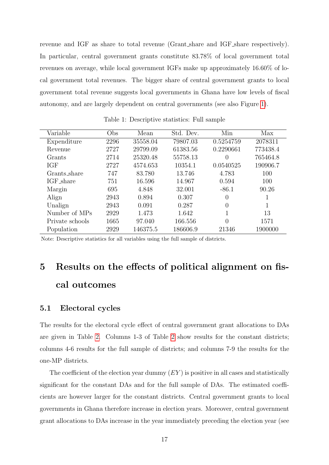revenue and IGF as share to total revenue (Grant share and IGF share respectively). In particular, central government grants constitute 83.78% of local government total revenues on average, while local government IGFs make up approximately 16.60% of local government total revenues. The bigger share of central government grants to local government total revenue suggests local governments in Ghana have low levels of fiscal autonomy, and are largely dependent on central governments (see also Figure [1\)](#page-9-0).

<span id="page-17-0"></span>

| Variable        | Obs  | Mean     | Std. Dev. | Min       | Max      |
|-----------------|------|----------|-----------|-----------|----------|
| Expenditure     | 2296 | 35558.04 | 79807.03  | 0.5254759 | 2078311  |
| Revenue         | 2727 | 29799.09 | 61383.56  | 0.2290661 | 773438.4 |
| Grants          | 2714 | 25320.48 | 55758.13  | 0         | 765464.8 |
| IGF             | 2727 | 4574.653 | 10354.1   | 0.0540525 | 190906.7 |
| Grants_share    | 747  | 83.780   | 13.746    | 4.783     | 100      |
| IGF_share       | 751  | 16.596   | 14.967    | 0.594     | 100      |
| Margin          | 695  | 4.848    | 32.001    | $-86.1$   | 90.26    |
| Align           | 2943 | 0.894    | 0.307     | 0         |          |
| Unalign         | 2943 | 0.091    | 0.287     | $\Omega$  |          |
| Number of MPs   | 2929 | 1.473    | 1.642     |           | 13       |
| Private schools | 1665 | 97.040   | 166.556   | 0         | 1571     |
| Population      | 2929 | 146375.5 | 186606.9  | 21346     | 1900000  |

Table 1: Descriptive statistics: Full sample

Note: Descriptive statistics for all variables using the full sample of districts.

## 5 Results on the effects of political alignment on fiscal outcomes

### 5.1 Electoral cycles

The results for the electoral cycle effect of central government grant allocations to DAs are given in Table [2.](#page-18-0) Columns 1-3 of Table [2](#page-18-0) show results for the constant districts; columns 4-6 results for the full sample of districts; and columns 7-9 the results for the one-MP districts.

The coefficient of the election year dummy  $(EY)$  is positive in all cases and statistically significant for the constant DAs and for the full sample of DAs. The estimated coefficients are however larger for the constant districts. Central government grants to local governments in Ghana therefore increase in election years. Moreover, central government grant allocations to DAs increase in the year immediately preceding the election year (see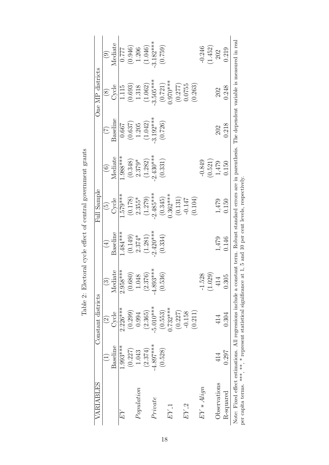<span id="page-18-0"></span>

| VARIABLES                                                                                                                                                                                                                         |             | Constant districts |                |                                              | Full Sample              |                                                |            | One MP districts |                    |
|-----------------------------------------------------------------------------------------------------------------------------------------------------------------------------------------------------------------------------------|-------------|--------------------|----------------|----------------------------------------------|--------------------------|------------------------------------------------|------------|------------------|--------------------|
|                                                                                                                                                                                                                                   |             | $\widehat{\Omega}$ |                | $(\pm)$                                      | $\widetilde{\mathbb{G}}$ | $\left( \begin{matrix} 6 \end{matrix} \right)$ | E          | $\circledS$      | $\widehat{\Theta}$ |
|                                                                                                                                                                                                                                   | Baseline    | Cycle              | iate<br>Medi   | Baseline                                     | Cycle                    | Mediate                                        | Baseline   | Cycle            | Mediate            |
| EY                                                                                                                                                                                                                                | 1.993***    | $2.226***$         | $2.958***$     | $1.484***$                                   | $1.579***$               | $1.988***$                                     | 0.667      | 1.115            | 777.0              |
|                                                                                                                                                                                                                                   | (0.227)     | (0.299)            | (0.680)        | (0.149)                                      | (0.178)                  | (0.348)                                        | (0.637)    | (0.693)          | (0.946)            |
| Population                                                                                                                                                                                                                        | 1.043       | 0.994              | 1.048          | $2.374*$                                     | $2.355*$                 | $2.379*$                                       | 1.205      | 1.318            | 1.206              |
|                                                                                                                                                                                                                                   | (2.374)     | (2.365)            | (2.376)        | (1.281)                                      | (1.279)                  | (1.282)                                        | (1.042)    | (1.062)          | (1.046)            |
| Private                                                                                                                                                                                                                           | $-4.897***$ | $-5.010***$        | $4.893***$     | $2.420***$                                   | $2.485***$               | $2.430***$                                     | $3.192***$ | $3.505***$       | $3.182***$         |
|                                                                                                                                                                                                                                   | (0.528)     | (0.553)            | (0.536)        | (0.334)                                      | (0.345)                  | (0.331)                                        | (0.726)    | (0.721)          | (0.759)            |
| $EY_{-1}$                                                                                                                                                                                                                         |             | $0.732***$         |                |                                              | $0.362***$               |                                                |            | $0.970***$       |                    |
|                                                                                                                                                                                                                                   |             | (0.227)            |                |                                              | (0.131)                  |                                                |            | (0.277)          |                    |
| $EY_2$                                                                                                                                                                                                                            |             | $-0.158$           |                |                                              | $-0.147$                 |                                                |            | 0.0755           |                    |
|                                                                                                                                                                                                                                   |             | (0.211)            |                |                                              | (0.104)                  |                                                |            | (0.263)          |                    |
| $EY * Aliqn$                                                                                                                                                                                                                      |             |                    | $-1.528$       |                                              |                          | $-0.849$                                       |            |                  | $-0.246$           |
|                                                                                                                                                                                                                                   |             |                    | 29)<br>Ö.<br>D |                                              |                          | (0.521)                                        |            |                  | (1.452)            |
| Observations                                                                                                                                                                                                                      | 414         | 414                | 414            | 1,479                                        | 1,479                    | 1,479                                          | 202        | 202              | 202                |
| R-squared                                                                                                                                                                                                                         | 0.297       | 0.304              | 0.305          | 0.146                                        | 0.150                    | 0.150                                          | 0.218      | 0.248            | 0.219              |
| Note: Fixed effect estimations. All regressions include a constant term. Robust standard errors are in parenthesis. The dependent variable is measured in real<br>per capita terms. ***, **, * represent statistical significance |             |                    |                | at 1, 5 and 10 per cent levels, respectively |                          |                                                |            |                  |                    |

Table 2: Electoral cycle effect of central government grants Table 2: Electoral cycle effect of central government grants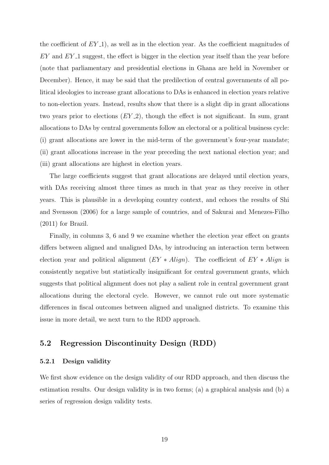the coefficient of  $EY_1$ , as well as in the election year. As the coefficient magnitudes of  $EY$  and  $EY$ <sub>-1</sub> suggest, the effect is bigger in the election year itself than the year before (note that parliamentary and presidential elections in Ghana are held in November or December). Hence, it may be said that the predilection of central governments of all political ideologies to increase grant allocations to DAs is enhanced in election years relative to non-election years. Instead, results show that there is a slight dip in grant allocations two years prior to elections  $(EY_2)$ , though the effect is not significant. In sum, grant allocations to DAs by central governments follow an electoral or a political business cycle: (i) grant allocations are lower in the mid-term of the government's four-year mandate; (ii) grant allocations increase in the year preceding the next national election year; and (iii) grant allocations are highest in election years.

The large coefficients suggest that grant allocations are delayed until election years, with DAs receiving almost three times as much in that year as they receive in other years. This is plausible in a developing country context, and echoes the results of Shi and Svensson (2006) for a large sample of countries, and of Sakurai and Menezes-Filho (2011) for Brazil.

Finally, in columns 3, 6 and 9 we examine whether the election year effect on grants differs between aligned and unaligned DAs, by introducing an interaction term between election year and political alignment  $(EY * A lign)$ . The coefficient of  $EY * A lign$  is consistently negative but statistically insignificant for central government grants, which suggests that political alignment does not play a salient role in central government grant allocations during the electoral cycle. However, we cannot rule out more systematic differences in fiscal outcomes between aligned and unaligned districts. To examine this issue in more detail, we next turn to the RDD approach.

### 5.2 Regression Discontinuity Design (RDD)

### 5.2.1 Design validity

We first show evidence on the design validity of our RDD approach, and then discuss the estimation results. Our design validity is in two forms; (a) a graphical analysis and (b) a series of regression design validity tests.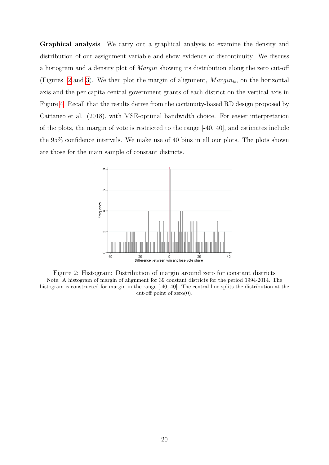Graphical analysis We carry out a graphical analysis to examine the density and distribution of our assignment variable and show evidence of discontinuity. We discuss a histogram and a density plot of Margin showing its distribution along the zero cut-off (Figures [2](#page-20-0) and [3\)](#page-21-0). We then plot the margin of alignment,  $Margin_{it}$ , on the horizontal axis and the per capita central government grants of each district on the vertical axis in Figure [4.](#page-21-1) Recall that the results derive from the continuity-based RD design proposed by Cattaneo et al. (2018), with MSE-optimal bandwidth choice. For easier interpretation of the plots, the margin of vote is restricted to the range [-40, 40], and estimates include the 95% confidence intervals. We make use of 40 bins in all our plots. The plots shown are those for the main sample of constant districts.

<span id="page-20-0"></span>

Figure 2: Histogram: Distribution of margin around zero for constant districts Note: A histogram of margin of alignment for 39 constant districts for the period 1994-2014. The histogram is constructed for margin in the range  $[-40, 40]$ . The central line splits the distribution at the cut-off point of  $zero(0)$ .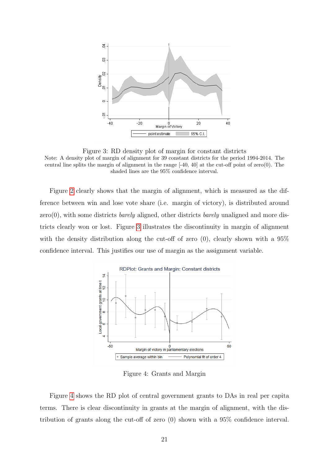<span id="page-21-0"></span>

Figure 3: RD density plot of margin for constant districts Note: A density plot of margin of alignment for 39 constant districts for the period 1994-2014. The central line splits the margin of alignment in the range [-40, 40] at the cut-off point of zero(0). The shaded lines are the 95% confidence interval.

Figure [2](#page-20-0) clearly shows that the margin of alignment, which is measured as the difference between win and lose vote share (i.e. margin of victory), is distributed around  $zero(0)$ , with some districts *barely* aligned, other districts *barely* unaligned and more districts clearly won or lost. Figure [3](#page-21-0) illustrates the discontinuity in margin of alignment with the density distribution along the cut-off of zero  $(0)$ , clearly shown with a 95% confidence interval. This justifies our use of margin as the assignment variable.

<span id="page-21-1"></span>

Figure 4: Grants and Margin

Figure [4](#page-21-1) shows the RD plot of central government grants to DAs in real per capita terms. There is clear discontinuity in grants at the margin of alignment, with the distribution of grants along the cut-off of zero (0) shown with a 95% confidence interval.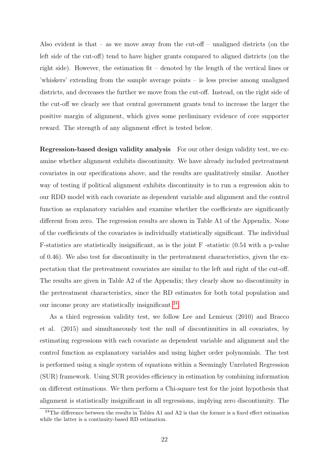Also evident is that – as we move away from the cut-off – unaligned districts (on the left side of the cut-off) tend to have higher grants compared to aligned districts (on the right side). However, the estimation fit – denoted by the length of the vertical lines or 'whiskers' extending from the sample average points – is less precise among unaligned districts, and decreases the further we move from the cut-off. Instead, on the right side of the cut-off we clearly see that central government grants tend to increase the larger the positive margin of alignment, which gives some preliminary evidence of core supporter reward. The strength of any alignment effect is tested below.

Regression-based design validity analysis For our other design validity test, we examine whether alignment exhibits discontinuity. We have already included pretreatment covariates in our specifications above, and the results are qualitatively similar. Another way of testing if political alignment exhibits discontinuity is to run a regression akin to our RDD model with each covariate as dependent variable and alignment and the control function as explanatory variables and examine whether the coefficients are significantly different from zero. The regression results are shown in Table A1 of the Appendix. None of the coefficients of the covariates is individually statistically significant. The individual F-statistics are statistically insignificant, as is the joint F -statistic (0.54 with a p-value of 0.46). We also test for discontinuity in the pretreatment characteristics, given the expectation that the pretreatment covariates are similar to the left and right of the cut-off. The results are given in Table A2 of the Appendix; they clearly show no discontinuity in the pretreatment characteristics, since the RD estimates for both total population and our income proxy are statistically insignificant  $^{24}$  $^{24}$  $^{24}$ .

As a third regression validity test, we follow Lee and Lemieux (2010) and Bracco et al. (2015) and simultaneously test the null of discontinuities in all covariates, by estimating regressions with each covariate as dependent variable and alignment and the control function as explanatory variables and using higher order polynomials. The test is performed using a single system of equations within a Seemingly Unrelated Regression (SUR) framework. Using SUR provides efficiency in estimation by combining information on different estimations. We then perform a Chi-square test for the joint hypothesis that alignment is statistically insignificant in all regressions, implying zero discontinuity. The

 $^{24}$ The difference between the results in Tables A1 and A2 is that the former is a fixed effect estimation while the latter is a continuity-based RD estimation.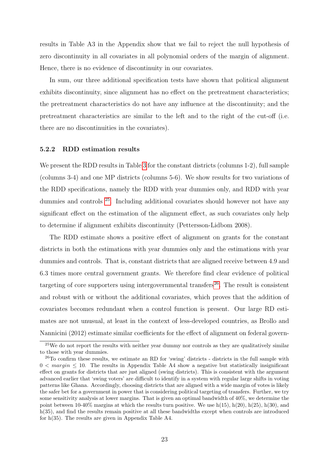results in Table A3 in the Appendix show that we fail to reject the null hypothesis of zero discontinuity in all covariates in all polynomial orders of the margin of alignment. Hence, there is no evidence of discontinuity in our covariates.

In sum, our three additional specification tests have shown that political alignment exhibits discontinuity, since alignment has no effect on the pretreatment characteristics; the pretreatment characteristics do not have any influence at the discontinuity; and the pretreatment characteristics are similar to the left and to the right of the cut-off (i.e. there are no discontinuities in the covariates).

### 5.2.2 RDD estimation results

We present the RDD results in Table [3](#page-24-0) for the constant districts (columns 1-2), full sample (columns 3-4) and one MP districts (columns 5-6). We show results for two variations of the RDD specifications, namely the RDD with year dummies only, and RDD with year dummies and controls [25](#page-1-0). Including additional covariates should however not have any significant effect on the estimation of the alignment effect, as such covariates only help to determine if alignment exhibits discontinuity (Pettersson-Lidbom 2008).

The RDD estimate shows a positive effect of alignment on grants for the constant districts in both the estimations with year dummies only and the estimations with year dummies and controls. That is, constant districts that are aligned receive between 4.9 and 6.3 times more central government grants. We therefore find clear evidence of political targeting of core supporters using intergovernmental transfers<sup>[26](#page-1-0)</sup>. The result is consistent and robust with or without the additional covariates, which proves that the addition of covariates becomes redundant when a control function is present. Our large RD estimates are not unusual, at least in the context of less-developed countries, as Brollo and Nannicini (2012) estimate similar coefficients for the effect of alignment on federal govern-

 $25$ We do not report the results with neither year dummy nor controls as they are qualitatively similar to those with year dummies.

<sup>26</sup>To confirm these results, we estimate an RD for 'swing' districts - districts in the full sample with  $0 < margin \leq 10$ . The results in Appendix Table A4 show a negative but statistically insignificant effect on grants for districts that are just aligned (swing districts). This is consistent with the argument advanced earlier that 'swing voters' are difficult to identify in a system with regular large shifts in voting patterns like Ghana. Accordingly, choosing districts that are aligned with a wide margin of votes is likely the safer bet for a government in power that is considering political targeting of transfers. Further, we try some sensitivity analysis at lower margins. That is given an optimal bandwidth of 40%, we determine the point between 10-40% margins at which the results turn positive. We use  $h(15)$ ,  $h(20)$ ,  $h(25)$ ,  $h(30)$ , and h(35), and find the results remain positive at all these bandwidths except when controls are introduced for h(35). The results are given in Appendix Table A4.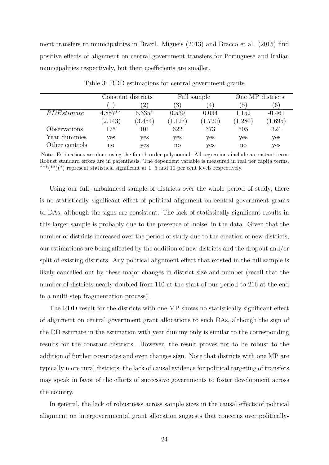ment transfers to municipalities in Brazil. Migueis (2013) and Bracco et al. (2015) find positive effects of alignment on central government transfers for Portuguese and Italian municipalities respectively, but their coefficients are smaller.

<span id="page-24-0"></span>

|                   |           | Constant districts |                  | Full sample       |                | One MP districts |
|-------------------|-----------|--------------------|------------------|-------------------|----------------|------------------|
|                   |           | $^{\prime}2)$      | $\left(3\right)$ | $\left( 4\right)$ | $\overline{5}$ | (6)              |
| <i>RDEstimate</i> | $4.887**$ | $6.335*$           | 0.539            | 0.034             | 1.152          | $-0.461$         |
|                   | (2.143)   | (3.454)            | (1.127)          | (1.720)           | (1.280)        | (1.695)          |
| Observations      | 175       | 101                | 622              | 373               | 505            | 324              |
| Year dummies      | yes       | yes                | yes              | yes               | yes            | yes              |
| Other controls    | no        | yes                | no               | yes               | no             | yes              |

Table 3: RDD estimations for central government grants

Note: Estimations are done using the fourth order polynomial. All regressions include a constant term. Robust standard errors are in parenthesis. The dependent variable is measured in real per capita terms. \*\*\*(\*\*)(\*) represent statistical significant at 1, 5 and 10 per cent levels respectively.

Using our full, unbalanced sample of districts over the whole period of study, there is no statistically significant effect of political alignment on central government grants to DAs, although the signs are consistent. The lack of statistically significant results in this larger sample is probably due to the presence of 'noise' in the data. Given that the number of districts increased over the period of study due to the creation of new districts, our estimations are being affected by the addition of new districts and the dropout and/or split of existing districts. Any political alignment effect that existed in the full sample is likely cancelled out by these major changes in district size and number (recall that the number of districts nearly doubled from 110 at the start of our period to 216 at the end in a multi-step fragmentation process).

The RDD result for the districts with one MP shows no statistically significant effect of alignment on central government grant allocations to such DAs, although the sign of the RD estimate in the estimation with year dummy only is similar to the corresponding results for the constant districts. However, the result proves not to be robust to the addition of further covariates and even changes sign. Note that districts with one MP are typically more rural districts; the lack of causal evidence for political targeting of transfers may speak in favor of the efforts of successive governments to foster development across the country.

In general, the lack of robustness across sample sizes in the causal effects of political alignment on intergovernmental grant allocation suggests that concerns over politically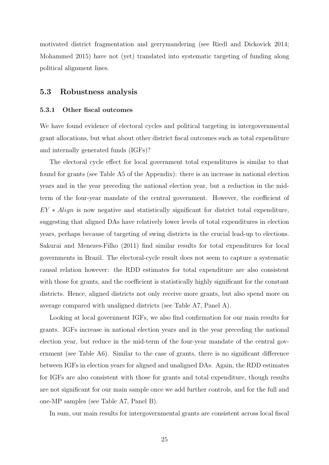motivated district fragmentation and gerrymandering (see Riedl and Dickovick 2014; Mohammed 2015) have not (yet) translated into systematic targeting of funding along political alignment lines.

### 5.3 Robustness analysis

### 5.3.1 Other fiscal outcomes

We have found evidence of electoral cycles and political targeting in intergovernmental grant allocations, but what about other district fiscal outcomes such as total expenditure and internally generated funds (IGFs)?

The electoral cycle effect for local government total expenditures is similar to that found for grants (see Table A5 of the Appendix): there is an increase in national election years and in the year preceding the national election year, but a reduction in the midterm of the four-year mandate of the central government. However, the coefficient of  $EY * Align$  is now negative and statistically significant for district total expenditure, suggesting that aligned DAs have relatively lower levels of total expenditures in election years, perhaps because of targeting of swing districts in the crucial lead-up to elections. Sakurai and Menezes-Filho (2011) find similar results for total expenditures for local governments in Brazil. The electoral-cycle result does not seem to capture a systematic causal relation however: the RDD estimates for total expenditure are also consistent with those for grants, and the coefficient is statistically highly significant for the constant districts. Hence, aligned districts not only receive more grants, but also spend more on average compared with unaligned districts (see Table A7, Panel A).

Looking at local government IGFs, we also find confirmation for our main results for grants. IGFs increase in national election years and in the year preceding the national election year, but reduce in the mid-term of the four-year mandate of the central government (see Table A6). Similar to the case of grants, there is no significant difference between IGFs in election years for aligned and unaligned DAs. Again, the RDD estimates for IGFs are also consistent with those for grants and total expenditure, though results are not significant for our main sample once we add further controls, and for the full and one-MP samples (see Table A7, Panel B).

In sum, our main results for intergovernmental grants are consistent across local fiscal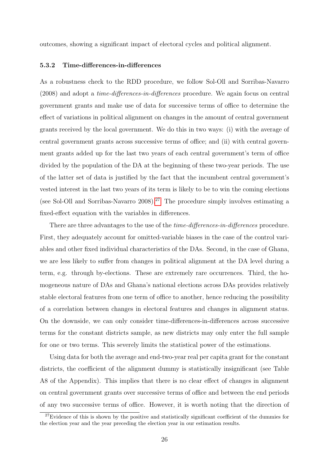outcomes, showing a significant impact of electoral cycles and political alignment.

### 5.3.2 Time-differences-in-differences

As a robustness check to the RDD procedure, we follow Sol-Oll and Sorribas-Navarro (2008) and adopt a time-differences-in-differences procedure. We again focus on central government grants and make use of data for successive terms of office to determine the effect of variations in political alignment on changes in the amount of central government grants received by the local government. We do this in two ways: (i) with the average of central government grants across successive terms of office; and (ii) with central government grants added up for the last two years of each central government's term of office divided by the population of the DA at the beginning of these two-year periods. The use of the latter set of data is justified by the fact that the incumbent central government's vested interest in the last two years of its term is likely to be to win the coming elections (see Sol-Oll and Sorribas-Navarro 2008).<sup>[27](#page-1-0)</sup> The procedure simply involves estimating a fixed-effect equation with the variables in differences.

There are three advantages to the use of the *time-differences-in-differences* procedure. First, they adequately account for omitted-variable biases in the case of the control variables and other fixed individual characteristics of the DAs. Second, in the case of Ghana, we are less likely to suffer from changes in political alignment at the DA level during a term, e.g. through by-elections. These are extremely rare occurrences. Third, the homogeneous nature of DAs and Ghana's national elections across DAs provides relatively stable electoral features from one term of office to another, hence reducing the possibility of a correlation between changes in electoral features and changes in alignment status. On the downside, we can only consider time-differences-in-differences across successive terms for the constant districts sample, as new districts may only enter the full sample for one or two terms. This severely limits the statistical power of the estimations.

Using data for both the average and end-two-year real per capita grant for the constant districts, the coefficient of the alignment dummy is statistically insignificant (see Table A8 of the Appendix). This implies that there is no clear effect of changes in alignment on central government grants over successive terms of office and between the end periods of any two successive terms of office. However, it is worth noting that the direction of

 $27$ Evidence of this is shown by the positive and statistically significant coefficient of the dummies for the election year and the year preceding the election year in our estimation results.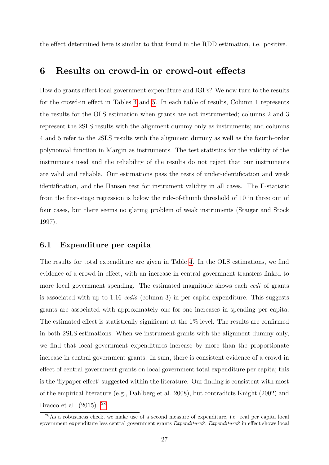the effect determined here is similar to that found in the RDD estimation, i.e. positive.

### 6 Results on crowd-in or crowd-out effects

How do grants affect local government expenditure and IGFs? We now turn to the results for the crowd-in effect in Tables [4](#page-28-0) and [5.](#page-30-0) In each table of results, Column 1 represents the results for the OLS estimation when grants are not instrumented; columns 2 and 3 represent the 2SLS results with the alignment dummy only as instruments; and columns 4 and 5 refer to the 2SLS results with the alignment dummy as well as the fourth-order polynomial function in Margin as instruments. The test statistics for the validity of the instruments used and the reliability of the results do not reject that our instruments are valid and reliable. Our estimations pass the tests of under-identification and weak identification, and the Hansen test for instrument validity in all cases. The F-statistic from the first-stage regression is below the rule-of-thumb threshold of 10 in three out of four cases, but there seems no glaring problem of weak instruments (Staiger and Stock 1997).

### 6.1 Expenditure per capita

The results for total expenditure are given in Table [4.](#page-28-0) In the OLS estimations, we find evidence of a crowd-in effect, with an increase in central government transfers linked to more local government spending. The estimated magnitude shows each *cedi* of grants is associated with up to 1.16 cedis (column 3) in per capita expenditure. This suggests grants are associated with approximately one-for-one increases in spending per capita. The estimated effect is statistically significant at the 1% level. The results are confirmed in both 2SLS estimations. When we instrument grants with the alignment dummy only, we find that local government expenditures increase by more than the proportionate increase in central government grants. In sum, there is consistent evidence of a crowd-in effect of central government grants on local government total expenditure per capita; this is the 'flypaper effect' suggested within the literature. Our finding is consistent with most of the empirical literature (e.g., Dahlberg et al. 2008), but contradicts Knight (2002) and Bracco et al. (2015). [28](#page-1-0)

<sup>28</sup>As a robustness check, we make use of a second measure of expenditure, i.e. real per capita local government expenditure less central government grants Expenditure2. Expenditure2 in effect shows local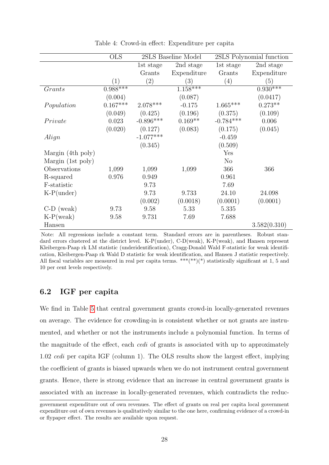<span id="page-28-0"></span>

|                   | <b>OLS</b>       |             | 2SLS Baseline Model |                      | 2SLS Polynomial function |
|-------------------|------------------|-------------|---------------------|----------------------|--------------------------|
|                   |                  | 1st stage   | 2nd stage           | 1st stage            | 2nd stage                |
|                   |                  | Grants      | Expenditure         | Grants               | Expenditure              |
|                   | $\left(1\right)$ | (2)         | (3)                 | (4)                  | (5)                      |
| Grants            | $0.988***$       |             | $1.158***$          |                      | $0.930***$               |
|                   | (0.004)          |             | (0.087)             |                      | (0.0417)                 |
| Population        | $0.167***$       | $2.078***$  | $-0.175$            | $1.665***$           | $0.273**$                |
|                   | (0.049)          | (0.425)     | (0.196)             | (0.375)              | (0.109)                  |
| Private           | 0.023            | $-0.896***$ | $0.169**$           | $-0.784***$          | 0.006                    |
|                   | (0.020)          | (0.127)     | (0.083)             | (0.175)              | (0.045)                  |
| Align             |                  | $-1.077***$ |                     | $-0.459$             |                          |
|                   |                  | (0.345)     |                     | (0.509)              |                          |
| Margin (4th poly) |                  |             |                     | $\operatorname{Yes}$ |                          |
| Margin (1st poly) |                  |             |                     | N <sub>o</sub>       |                          |
| Observations      | 1,099            | 1,099       | 1,099               | 366                  | 366                      |
| R-squared         | 0.976            | 0.949       |                     | 0.961                |                          |
| F-statistic       |                  | 9.73        |                     | 7.69                 |                          |
| $K-P(under)$      |                  | 9.73        | 9.733               | 24.10                | 24.098                   |
|                   |                  | (0.002)     | (0.0018)            | (0.0001)             | (0.0001)                 |
| $C-D$ (weak)      | 9.73             | 9.58        | 5.33                | 5.335                |                          |
| $K-P(weak)$       | 9.58             | 9.731       | 7.69                | 7.688                |                          |
| Hansen            |                  |             |                     |                      | 3.582(0.310)             |

Table 4: Crowd-in effect: Expenditure per capita

Note: All regressions include a constant term. Standard errors are in parentheses. Robust standard errors clustered at the district level. K-P(under), C-D(weak), K-P(weak), and Hansen represent Kleibergen-Paap rk LM statistic (underidentification), Cragg-Donald Wald F-statistic for weak identification, Kleibergen-Paap rk Wald D statistic for weak identification, and Hansen J statistic respectively. All fiscal variables are measured in real per capita terms. \*\*\*(\*\*)(\*) statistically significant at 1, 5 and 10 per cent levels respectively.

### 6.2 IGF per capita

We find in Table [5](#page-30-0) that central government grants crowd-in locally-generated revenues on average. The evidence for crowding-in is consistent whether or not grants are instrumented, and whether or not the instruments include a polynomial function. In terms of the magnitude of the effect, each cedi of grants is associated with up to approximately 1.02 cedi per capita IGF (column 1). The OLS results show the largest effect, implying the coefficient of grants is biased upwards when we do not instrument central government grants. Hence, there is strong evidence that an increase in central government grants is associated with an increase in locally-generated revenues, which contradicts the reduc-

government expenditure out of own revenues. The effect of grants on real per capita local government expenditure out of own revenues is qualitatively similar to the one here, confirming evidence of a crowd-in or flypaper effect. The results are available upon request.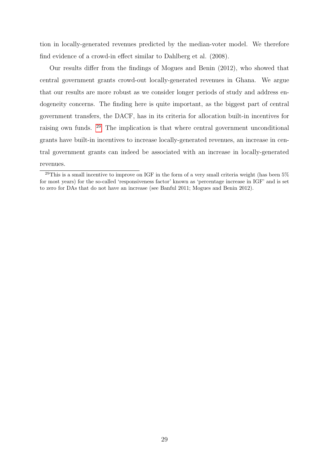tion in locally-generated revenues predicted by the median-voter model. We therefore find evidence of a crowd-in effect similar to Dahlberg et al. (2008).

Our results differ from the findings of Mogues and Benin (2012), who showed that central government grants crowd-out locally-generated revenues in Ghana. We argue that our results are more robust as we consider longer periods of study and address endogeneity concerns. The finding here is quite important, as the biggest part of central government transfers, the DACF, has in its criteria for allocation built-in incentives for raising own funds. [29](#page-1-0) The implication is that where central government unconditional grants have built-in incentives to increase locally-generated revenues, an increase in central government grants can indeed be associated with an increase in locally-generated revenues.

<sup>&</sup>lt;sup>29</sup>This is a small incentive to improve on IGF in the form of a very small criteria weight (has been  $5\%$ ) for most years) for the so-called 'responsiveness factor' known as 'percentage increase in IGF' and is set to zero for DAs that do not have an increase (see Banful 2011; Mogues and Benin 2012).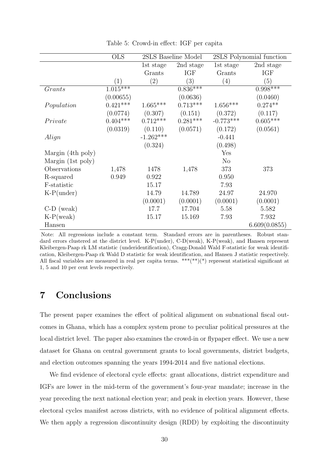<span id="page-30-0"></span>

|                   | <b>OLS</b> |             | 2SLS Baseline Model |                | 2SLS Polynomial function |
|-------------------|------------|-------------|---------------------|----------------|--------------------------|
|                   |            | 1st stage   | 2nd stage           | 1st stage      | 2nd stage                |
|                   |            | Grants      | <b>IGF</b>          | Grants         | <b>IGF</b>               |
|                   | (1)        | (2)         | (3)                 | (4)            | (5)                      |
| Grants            | $1.015***$ |             | $0.836***$          |                | $0.998***$               |
|                   | (0.00655)  |             | (0.0636)            |                | (0.0460)                 |
| Population        | $0.421***$ | $1.665***$  | $0.713***$          | $1.656***$     | $0.274**$                |
|                   | (0.0774)   | (0.307)     | (0.151)             | (0.372)        | (0.117)                  |
| Private           | $0.404***$ | $0.712***$  | $0.281***$          | $-0.773***$    | $0.605***$               |
|                   | (0.0319)   | (0.110)     | (0.0571)            | (0.172)        | (0.0561)                 |
| Align             |            | $-1.262***$ |                     | $-0.441$       |                          |
|                   |            | (0.324)     |                     | (0.498)        |                          |
| Margin (4th poly) |            |             |                     | Yes            |                          |
| Margin (1st poly) |            |             |                     | N <sub>o</sub> |                          |
| Observations      | 1,478      | 1478        | 1,478               | 373            | 373                      |
| R-squared         | 0.949      | 0.922       |                     | 0.950          |                          |
| F-statistic       |            | 15.17       |                     | 7.93           |                          |
| $K-P(under)$      |            | 14.79       | 14.789              | 24.97          | 24.970                   |
|                   |            | (0.0001)    | (0.0001)            | (0.0001)       | (0.0001)                 |
| $C-D$ (weak)      |            | 17.7        | 17.704              | 5.58           | 5.582                    |
| $K-P(weak)$       |            | 15.17       | 15.169              | 7.93           | 7.932                    |
| Hansen            |            |             |                     |                | 6.609(0.0855)            |

Table 5: Crowd-in effect: IGF per capita

Note: All regressions include a constant term. Standard errors are in parentheses. Robust standard errors clustered at the district level. K-P(under), C-D(weak), K-P(weak), and Hansen represent Kleibergen-Paap rk LM statistic (underidentification), Cragg-Donald Wald F-statistic for weak identification, Kleibergen-Paap rk Wald D statistic for weak identification, and Hansen J statistic respectively. All fiscal variables are measured in real per capita terms.  $***(**)$  represent statistical significant at 1, 5 and 10 per cent levels respectively.

## 7 Conclusions

The present paper examines the effect of political alignment on subnational fiscal outcomes in Ghana, which has a complex system prone to peculiar political pressures at the local district level. The paper also examines the crowd-in or flypaper effect. We use a new dataset for Ghana on central government grants to local governments, district budgets, and election outcomes spanning the years 1994-2014 and five national elections.

We find evidence of electoral cycle effects: grant allocations, district expenditure and IGFs are lower in the mid-term of the government's four-year mandate; increase in the year preceding the next national election year; and peak in election years. However, these electoral cycles manifest across districts, with no evidence of political alignment effects. We then apply a regression discontinuity design (RDD) by exploiting the discontinuity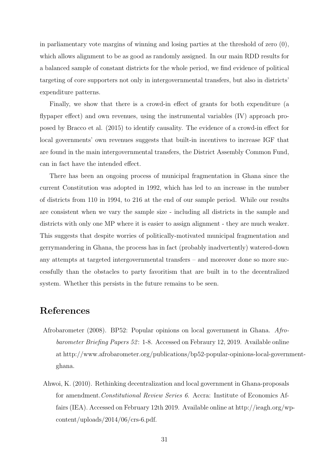in parliamentary vote margins of winning and losing parties at the threshold of zero (0), which allows alignment to be as good as randomly assigned. In our main RDD results for a balanced sample of constant districts for the whole period, we find evidence of political targeting of core supporters not only in intergovernmental transfers, but also in districts' expenditure patterns.

Finally, we show that there is a crowd-in effect of grants for both expenditure (a flypaper effect) and own revenues, using the instrumental variables (IV) approach proposed by Bracco et al. (2015) to identify causality. The evidence of a crowd-in effect for local governments' own revenues suggests that built-in incentives to increase IGF that are found in the main intergovernmental transfers, the District Assembly Common Fund, can in fact have the intended effect.

There has been an ongoing process of municipal fragmentation in Ghana since the current Constitution was adopted in 1992, which has led to an increase in the number of districts from 110 in 1994, to 216 at the end of our sample period. While our results are consistent when we vary the sample size - including all districts in the sample and districts with only one MP where it is easier to assign alignment - they are much weaker. This suggests that despite worries of politically-motivated municipal fragmentation and gerrymandering in Ghana, the process has in fact (probably inadvertently) watered-down any attempts at targeted intergovernmental transfers – and moreover done so more successfully than the obstacles to party favoritism that are built in to the decentralized system. Whether this persists in the future remains to be seen.

## References

- Afrobarometer (2008). BP52: Popular opinions on local government in Ghana. Afrobarometer Briefing Papers 52: 1-8. Accessed on Febraury 12, 2019. Available online at http://www.afrobarometer.org/publications/bp52-popular-opinions-local-governmentghana.
- Ahwoi, K. (2010). Rethinking decentralization and local government in Ghana-proposals for amendment.Constitutional Review Series 6. Accra: Institute of Economics Affairs (IEA). Accessed on February 12th 2019. Available online at http://ieagh.org/wpcontent/uploads/2014/06/crs-6.pdf.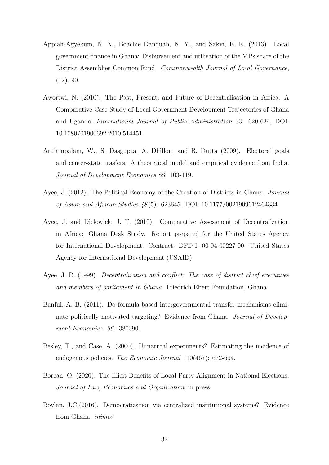- Appiah-Agyekum, N. N., Boachie Danquah, N. Y., and Sakyi, E. K. (2013). Local government finance in Ghana: Disbursement and utilisation of the MPs share of the District Assemblies Common Fund. Commonwealth Journal of Local Governance,  $(12), 90.$
- Awortwi, N. (2010). The Past, Present, and Future of Decentralisation in Africa: A Comparative Case Study of Local Government Development Trajectories of Ghana and Uganda, International Journal of Public Administration 33: 620-634, DOI: 10.1080/01900692.2010.514451
- Arulampalam, W., S. Dasgupta, A. Dhillon, and B. Dutta (2009). Electoral goals and center-state trasfers: A theoretical model and empirical evidence from India. Journal of Development Economics 88: 103-119.
- Ayee, J. (2012). The Political Economy of the Creation of Districts in Ghana. Journal of Asian and African Studies 48 (5): 623645. DOI: 10.1177/0021909612464334
- Ayee, J. and Dickovick, J. T. (2010). Comparative Assessment of Decentralization in Africa: Ghana Desk Study. Report prepared for the United States Agency for International Development. Contract: DFD-I- 00-04-00227-00. United States Agency for International Development (USAID).
- Ayee, J. R. (1999). Decentralization and conflict: The case of district chief executives and members of parliament in Ghana. Friedrich Ebert Foundation, Ghana.
- Banful, A. B. (2011). Do formula-based intergovernmental transfer mechanisms eliminate politically motivated targeting? Evidence from Ghana. Journal of Development Economics, 96: 380390.
- Besley, T., and Case, A. (2000). Unnatural experiments? Estimating the incidence of endogenous policies. The Economic Journal  $110(467)$ : 672-694.
- Borcan, O. (2020). The Illicit Benefits of Local Party Alignment in National Elections. Journal of Law, Economics and Organization, in press.
- Boylan, J.C.(2016). Democratization via centralized institutional systems? Evidence from Ghana. mimeo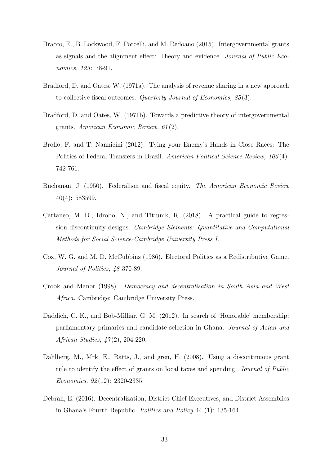- Bracco, E., B. Lockwood, F. Porcelli, and M. Redoano (2015). Intergovernmental grants as signals and the alignment effect: Theory and evidence. Journal of Public Economics, 123: 78-91.
- Bradford, D. and Oates, W. (1971a). The analysis of revenue sharing in a new approach to collective fiscal outcomes. Quarterly Journal of Economics, 85 (3).
- Bradford, D. and Oates, W. (1971b). Towards a predictive theory of intergovernmental grants. American Economic Review, 61 (2).
- Brollo, F. and T. Nannicini (2012). Tying your Enemy's Hands in Close Races: The Politics of Federal Transfers in Brazil. American Political Science Review, 106(4): 742-761.
- Buchanan, J. (1950). Federalism and fiscal equity. The American Economic Review 40(4): 583599.
- Cattaneo, M. D., Idrobo, N., and Titiunik, R. (2018). A practical guide to regression discontinuity designs. Cambridge Elements: Quantitative and Computational Methods for Social Science-Cambridge University Press I.
- Cox, W. G. and M. D. McCubbins (1986). Electoral Politics as a Redistributive Game. Journal of Politics,  $48:370-89$ .
- Crook and Manor (1998). Democracy and decentralisation in South Asia and West Africa. Cambridge: Cambridge University Press.
- Daddieh, C. K., and Bob-Milliar, G. M. (2012). In search of 'Honorable' membership: parliamentary primaries and candidate selection in Ghana. Journal of Asian and African Studies, 47 (2), 204-220.
- Dahlberg, M., Mrk, E., Ratts, J., and gren, H. (2008). Using a discontinuous grant rule to identify the effect of grants on local taxes and spending. Journal of Public Economics, 92 (12): 2320-2335.
- Debrah, E. (2016). Decentralization, District Chief Executives, and District Assemblies in Ghana's Fourth Republic. Politics and Policy 44 (1): 135-164.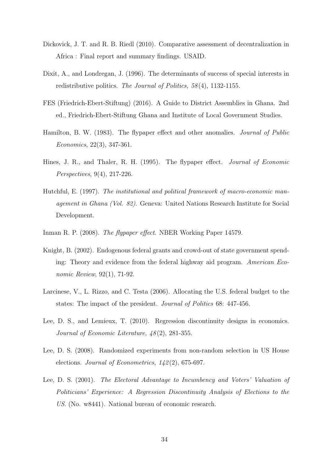- Dickovick, J. T. and R. B. Riedl (2010). Comparative assessment of decentralization in Africa : Final report and summary findings. USAID.
- Dixit, A., and Londregan, J. (1996). The determinants of success of special interests in redistributive politics. The Journal of Politics, 58(4), 1132-1155.
- FES (Friedrich-Ebert-Stiftung) (2016). A Guide to District Assemblies in Ghana. 2nd ed., Friedrich-Ebert-Stiftung Ghana and Institute of Local Government Studies.
- Hamilton, B. W. (1983). The flypaper effect and other anomalies. Journal of Public Economics, 22(3), 347-361.
- Hines, J. R., and Thaler, R. H. (1995). The flypaper effect. Journal of Economic Perspectives, 9(4), 217-226.
- Hutchful, E. (1997). The institutional and political framework of macro-economic management in Ghana (Vol. 82). Geneva: United Nations Research Institute for Social Development.
- Inman R. P. (2008). The flypaper effect. NBER Working Paper 14579.
- Knight, B. (2002). Endogenous federal grants and crowd-out of state government spending: Theory and evidence from the federal highway aid program. American Economic Review, 92(1), 71-92.
- Larcinese, V., L. Rizzo, and C. Testa (2006). Allocating the U.S. federal budget to the states: The impact of the president. Journal of Politics 68: 447-456.
- Lee, D. S., and Lemieux, T. (2010). Regression discontinuity designs in economics. Journal of Economic Literature,  $48(2)$ , 281-355.
- Lee, D. S. (2008). Randomized experiments from non-random selection in US House elections. Journal of Econometrics, 142 (2), 675-697.
- Lee, D. S. (2001). The Electoral Advantage to Incumbency and Voters' Valuation of Politicians' Experience: A Regression Discontinuity Analysis of Elections to the US. (No. w8441). National bureau of economic research.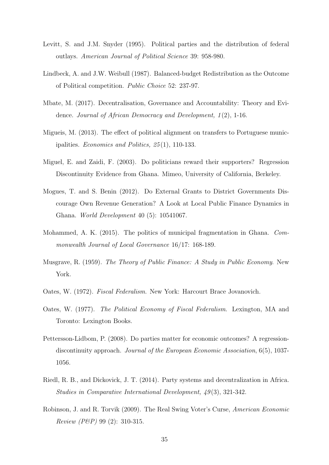- Levitt, S. and J.M. Snyder (1995). Political parties and the distribution of federal outlays. American Journal of Political Science 39: 958-980.
- Lindbeck, A. and J.W. Weibull (1987). Balanced-budget Redistribution as the Outcome of Political competition. Public Choice 52: 237-97.
- Mbate, M. (2017). Decentralisation, Governance and Accountability: Theory and Evidence. Journal of African Democracy and Development,  $1(2)$ , 1-16.
- Migueis, M. (2013). The effect of political alignment on transfers to Portuguese municipalities. Economics and Politics, 25 (1), 110-133.
- Miguel, E. and Zaidi, F. (2003). Do politicians reward their supporters? Regression Discontinuity Evidence from Ghana. Mimeo, University of California, Berkeley.
- Mogues, T. and S. Benin (2012). Do External Grants to District Governments Discourage Own Revenue Generation? A Look at Local Public Finance Dynamics in Ghana. World Development 40 (5): 10541067.
- Mohammed, A. K. (2015). The politics of municipal fragmentation in Ghana. Commonwealth Journal of Local Governance 16/17: 168-189.
- Musgrave, R. (1959). The Theory of Public Finance: A Study in Public Economy. New York.
- Oates, W. (1972). Fiscal Federalism. New York: Harcourt Brace Jovanovich.
- Oates, W. (1977). The Political Economy of Fiscal Federalism. Lexington, MA and Toronto: Lexington Books.
- Pettersson-Lidbom, P. (2008). Do parties matter for economic outcomes? A regressiondiscontinuity approach. Journal of the European Economic Association, 6(5), 1037- 1056.
- Riedl, R. B., and Dickovick, J. T. (2014). Party systems and decentralization in Africa. Studies in Comparative International Development, 49(3), 321-342.
- Robinson, J. and R. Torvik (2009). The Real Swing Voter's Curse, American Economic Review (P&P) 99 (2): 310-315.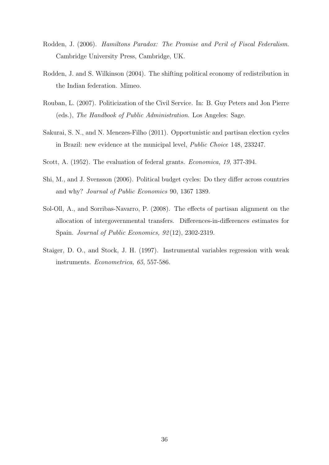- Rodden, J. (2006). Hamiltons Paradox: The Promise and Peril of Fiscal Federalism. Cambridge University Press, Cambridge, UK.
- Rodden, J. and S. Wilkinson (2004). The shifting political economy of redistribution in the Indian federation. Mimeo.
- Rouban, L. (2007). Politicization of the Civil Service. In: B. Guy Peters and Jon Pierre (eds.), The Handbook of Public Administration. Los Angeles: Sage.
- Sakurai, S. N., and N. Menezes-Filho (2011). Opportunistic and partisan election cycles in Brazil: new evidence at the municipal level, Public Choice 148, 233247.
- Scott, A. (1952). The evaluation of federal grants. *Economica*, 19, 377-394.
- Shi, M., and J. Svensson (2006). Political budget cycles: Do they differ across countries and why? Journal of Public Economics 90, 1367 1389.
- Sol-Oll, A., and Sorribas-Navarro, P. (2008). The effects of partisan alignment on the allocation of intergovernmental transfers. Differences-in-differences estimates for Spain. Journal of Public Economics, 92 (12), 2302-2319.
- Staiger, D. O., and Stock, J. H. (1997). Instrumental variables regression with weak instruments. Econometrica, 65, 557-586.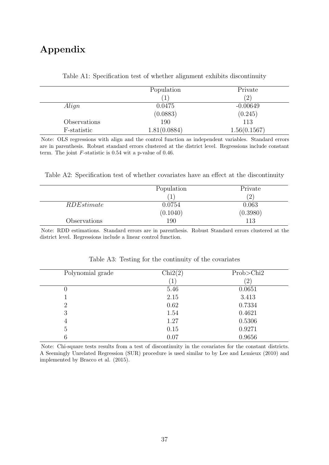## Appendix

|              | Population   | Private       |
|--------------|--------------|---------------|
|              |              | $^{\prime}2)$ |
| Align        | 0.0475       | $-0.00649$    |
|              | (0.0883)     | (0.245)       |
| Observations | 190          | 113           |
| F-statistic  | 1.81(0.0884) | 1.56(0.1567)  |

Table A1: Specification test of whether alignment exhibits discontinuity

Note: OLS regressions with align and the control function as independent variables. Standard errors are in parenthesis. Robust standard errors clustered at the district level. Regressions include constant term. The joint F-statistic is 0.54 wit a p-value of 0.46.

Table A2: Specification test of whether covariates have an effect at the discontinuity

|                   | Population | Private      |
|-------------------|------------|--------------|
|                   |            | $^{\prime}2$ |
| <i>RDEstimate</i> | 0.0754     | 0.063        |
|                   | (0.1040)   | (0.3980)     |
| Observations      | 190        | 113          |

Note: RDD estimations. Standard errors are in parenthesis. Robust Standard errors clustered at the district level. Regressions include a linear control function.

| Chi2(2) | Prob > Chi2 |
|---------|-------------|
| T       | $^{'}2)$    |
| 5.46    | 0.0651      |
| 2.15    | 3.413       |
| 0.62    | 0.7334      |
| 1.54    | 0.4621      |
| 1.27    | 0.5306      |
| 0.15    | 0.9271      |
| 0.07    | 0.9656      |
|         |             |

Table A3: Testing for the continuity of the covariates

Note: Chi-square tests results from a test of discontinuity in the covariates for the constant districts. A Seemingly Unrelated Regression (SUR) procedure is used similar to by Lee and Lemieux (2010) and implemented by Bracco et al. (2015).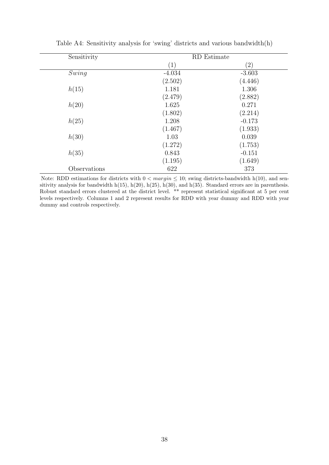| Sensitivity  |                   | RD Estimate |
|--------------|-------------------|-------------|
|              | $\left( 1\right)$ | (2)         |
| Swing        | $-4.034$          | $-3.603$    |
|              | (2.502)           | (4.446)     |
| h(15)        | 1.181             | 1.306       |
|              | (2.479)           | (2.882)     |
| h(20)        | 1.625             | 0.271       |
|              | (1.802)           | (2.214)     |
| h(25)        | 1.208             | $-0.173$    |
|              | (1.467)           | (1.933)     |
| h(30)        | 1.03              | 0.039       |
|              | (1.272)           | (1.753)     |
| h(35)        | 0.843             | $-0.151$    |
|              | (1.195)           | (1.649)     |
| Observations | 622               | 373         |

Table A4: Sensitivity analysis for 'swing' districts and various bandwidth(h)

Note: RDD estimations for districts with  $0 < margin \leq 10$ ; swing districts-bandwidth h(10), and sensitivity analysis for bandwidth h(15), h(20), h(25), h(30), and h(35). Standard errors are in parenthesis. Robust standard errors clustered at the district level. \*\* represent statistical significant at 5 per cent levels respectively. Columns 1 and 2 represent results for RDD with year dummy and RDD with year dummy and controls respectively.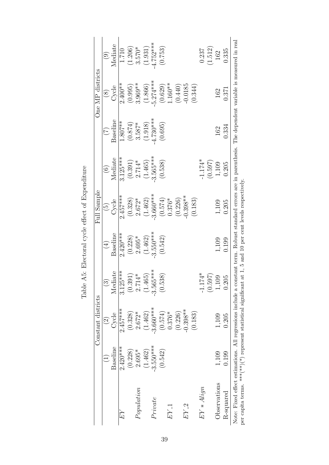|               |             | Constant districts |            |            | Full Sample          |            |            | One MP districts |                    |
|---------------|-------------|--------------------|------------|------------|----------------------|------------|------------|------------------|--------------------|
|               |             | $\widehat{\Omega}$ |            | $\oplus$   | $\widetilde{\Theta}$ | $\odot$    |            | $(\overline{8})$ | $\widehat{\Theta}$ |
|               | Baseline    | Cycle              | Mediate    | Baseline   | Cycle                | Mediate    | Baseline   | Cycle            | Mediate            |
| EY            | $2.420***$  | $2.457***$         | $3.125***$ | $2.420***$ | $2.457***$           | $3.125***$ | $1.807**$  | $2.400**$        | 1.710              |
|               | (0.228)     | (0.328)            | (0.391)    | (0.228)    | (0.328)              | (0.391)    | (0.874)    | (0.995)          | (1.206)            |
| Population    | $2.695*$    | $2.672*$           | $2.714*$   | $2.695*$   | $2.672*$             | $2.714*$   | $3.587*$   | $3.969**$        | $3.570*$           |
|               | (1.462)     | (1.462)            | (1.465)    | (1.462)    | (1.462)              | (1.465)    | (1.918)    | (1.866)          | (1.931)            |
| Private       | $-3.550***$ | $-3.660***$        | $3.565***$ | $3.550***$ | $3.660***$           | $3.565***$ | $4.730***$ | $5.274***$       | $4.752***$         |
|               | (0.542)     | (0.574)            | (0.538)    | (0.542)    | (0.574)              | (0.538)    | (0.695)    | (0.629)          | (0.753)            |
| $EY_{-1}$     |             | $0.376*$           |            |            | $0.376*$             |            |            | $1.160**$        |                    |
|               |             | (0.226)            |            |            | (0.226)              |            |            | (0.440)          |                    |
| $EY_2$        |             | $-0.398**$         |            |            | $-0.398**$           |            |            | $-0.0185$        |                    |
|               |             | (0.183)            |            |            | (0.183)              |            |            | (0.344)          |                    |
| $EY * A$ lign |             |                    | $-1.174*$  |            |                      | $-1.174*$  |            |                  | 0.237              |
|               |             |                    | (0.597)    |            |                      | (0.597)    |            |                  | (1.512)            |
| Observations  | 1,109       | 1,109              | 1,109      | 1,109      | 1,109                | 1,109      | 162        | 162              | 162                |
| R-squared     | 0.199       | 0.205              | 0.205      | 0.199      | 0.205                | 0.205      | 0.334      | 0.371            | 0.335              |

Table A5: Electoral cycle effect of Expenditure Table A5: Electoral cycle effect of Expenditure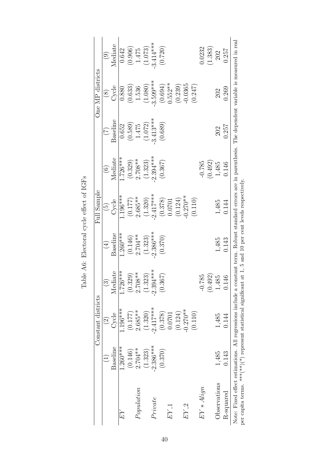|                                                                                                                                                                                                                                                                                |             | Constant districts |                      |            | Full Sample          |            |            | One MP districts  |                |
|--------------------------------------------------------------------------------------------------------------------------------------------------------------------------------------------------------------------------------------------------------------------------------|-------------|--------------------|----------------------|------------|----------------------|------------|------------|-------------------|----------------|
|                                                                                                                                                                                                                                                                                |             | $\widehat{\Omega}$ |                      | $\oplus$   | $\widetilde{\Theta}$ | $\odot$    | E          | $\left( 8\right)$ | $\overline{6}$ |
|                                                                                                                                                                                                                                                                                | Baseline    | Cycle              | Mediate              | Baseline   | Cycle                | Mediate    | Baseline   | Cycle             | Mediate        |
| EY                                                                                                                                                                                                                                                                             | $1.260***$  | $1.196***$         | $1.726***$           | $1.260***$ | $1.106***$           | $1.726***$ | 0.652      | 0.880             | 0.642          |
|                                                                                                                                                                                                                                                                                | (0.146)     | (0.177)            | (0.329)              | (0.146)    | (0.177)              | (0.329)    | (0.589)    | (0.633)           | (0.906)        |
| Population                                                                                                                                                                                                                                                                     | $2.704**$   | $2.685**$          | $2.708**$            | $2.704**$  | $2.685**$            | $2.708**$  | 1.475      | 1.536             | 1.475          |
|                                                                                                                                                                                                                                                                                | (1.323)     | (1.320)            | (1.323)              | (1.323)    | (1.320)              | (1.323)    | (1.072)    | (1.080)           | (1.073)        |
| Private                                                                                                                                                                                                                                                                        | $-2.386***$ | $-2.417***$        | $2.394***$           | $2.386***$ | $2.417***$           | $2.394***$ | $3.413***$ | $3.599***$        | $3.414***$     |
|                                                                                                                                                                                                                                                                                | (0.370)     | (0.378)            | (0.367)              | (0.370)    | (0.378)              | (0.367)    | (0.689)    | (0.694)           | (0.720)        |
| $EY_{-1}$                                                                                                                                                                                                                                                                      |             | 0.0701             |                      |            | 0.0701               |            |            | $0.552**$         |                |
|                                                                                                                                                                                                                                                                                |             | (0.124)            |                      |            | (0.124)              |            |            | (0.239)           |                |
| $EY_2$                                                                                                                                                                                                                                                                         |             | $-0.270**$         |                      |            | $0.270**$            |            |            | $-0.0365$         |                |
|                                                                                                                                                                                                                                                                                |             | (0.110)            |                      |            | (0.110)              |            |            | (0.247)           |                |
| $EY * A$ lign                                                                                                                                                                                                                                                                  |             |                    | 785<br>$-0.7$        |            |                      | $-0.785$   |            |                   | 0.0232         |
|                                                                                                                                                                                                                                                                                |             |                    | (0.492)              |            |                      | (0.492)    |            |                   | (1.383)        |
| Observations                                                                                                                                                                                                                                                                   | 1,485       | 1,485              | 1,485                | 1,485      | 1,485                | 1,485      | 202        | 202               | 202            |
| $R$ -squared                                                                                                                                                                                                                                                                   | 0.143       | 0.144              | 16<br>$\overline{0}$ | 0.143      | 0.144                | 0.146      | 0.257      | 0.269             | 0.257          |
| Note: Fixed effect estimations. All regressions include a constant term. Robust standard errors are in parenthesis. The dependent variable is measured in real<br>per capita terms. ****(**)(*) represent statistical significant at 1, 5 and 10 per cent levels respectively. |             |                    |                      |            |                      |            |            |                   |                |

Table A6: Electoral cycle effect of IGFs Table A6: Electoral cycle effect of IGFs